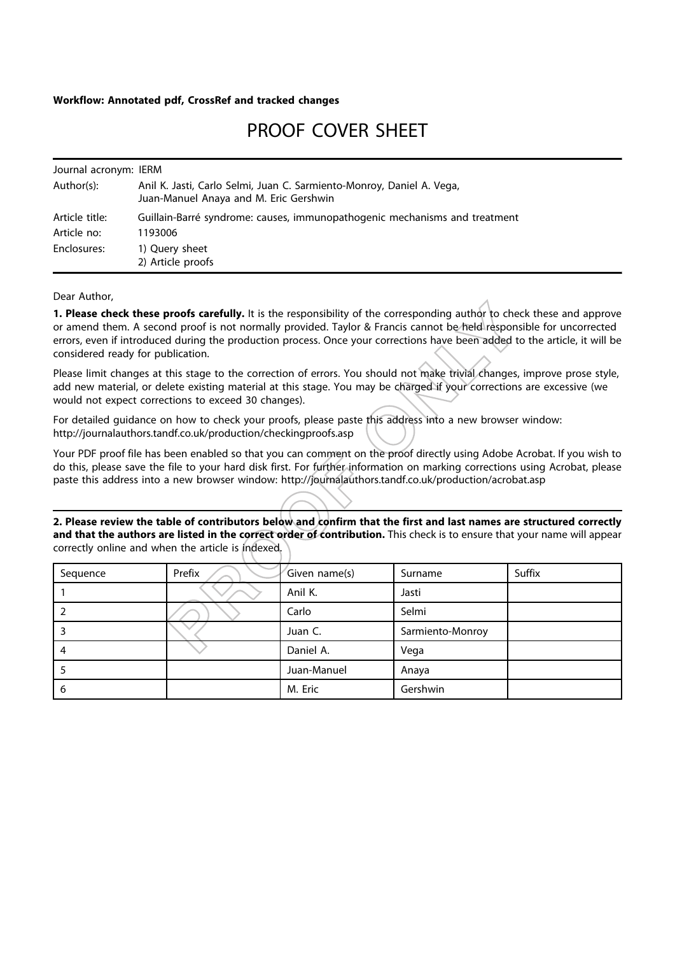## Workflow: Annotated pdf, CrossRef and tracked changes

# PROOF COVER SHEET

| Journal acronym: IERM         |                                                                                                                 |
|-------------------------------|-----------------------------------------------------------------------------------------------------------------|
| Author(s):                    | Anil K. Jasti, Carlo Selmi, Juan C. Sarmiento-Monroy, Daniel A. Vega,<br>Juan-Manuel Anaya and M. Eric Gershwin |
| Article title:<br>Article no: | Guillain-Barré syndrome: causes, immunopathogenic mechanisms and treatment<br>1193006                           |
| Enclosures:                   | 1) Query sheet<br>2) Article proofs                                                                             |

### Dear Author,

1. Please check these proofs carefully. It is the responsibility of the corresponding author to check these and approve or amend them. A second proof is not normally provided. Taylor & Francis cannot be held responsible for uncorrected errors, even if introduced during the production process. Once your corrections have been added to the article, it will be considered ready for publication.

Please limit changes at this stage to the correction of errors. You should not make trivial changes, improve prose style, add new material, or delete existing material at this stage. You may be charged if your corrections are excessive (we would not expect corrections to exceed 30 changes).

For detailed guidance on how to check your proofs, please paste this address into a new browser window: http://journalauthors.tandf.co.uk/production/checkingproofs.asp

Your PDF proof file has been enabled so that you can comment on the proof directly using Adobe Acrobat. If you wish to do this, please save the file to your hard disk first. For further information on marking corrections using Acrobat, please paste this address into a new browser window: http://journalauthors.tandf.co.uk/production/acrobat.asp

## 2. Please review the table of contributors below and confirm that the first and last names are structured correctly and that the authors are listed in the correct order of contribution. This check is to ensure that your name will appear correctly online and when the article is indexed.

| Sequence | Prefix | Given name(s) | Surname          | Suffix |
|----------|--------|---------------|------------------|--------|
|          |        | Anil K.       | Jasti            |        |
|          |        | Carlo         | Selmi            |        |
|          |        | Juan C.       | Sarmiento-Monroy |        |
| 4        |        | Daniel A.     | Vega             |        |
|          |        | Juan-Manuel   | Anaya            |        |
| 6        |        | M. Eric       | Gershwin         |        |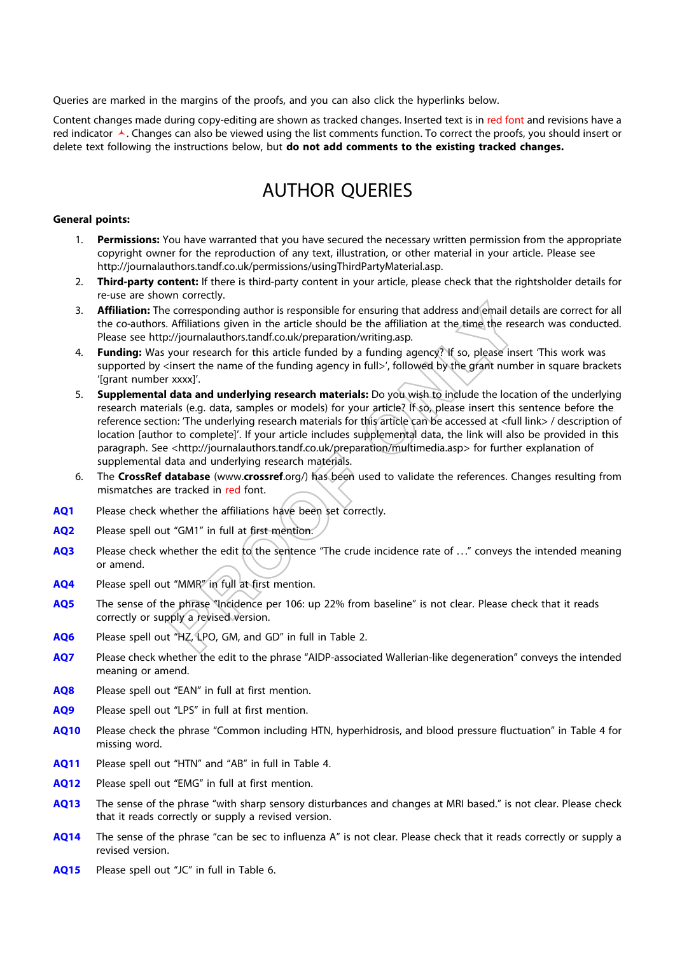Queries are marked in the margins of the proofs, and you can also click the hyperlinks below.

Content changes made during copy-editing are shown as tracked changes. Inserted text is in red font and revisions have a red indicator  $\triangle$ . Changes can also be viewed using the list comments function. To correct the proofs, you should insert or delete text following the instructions below, but do not add comments to the existing tracked changes.

# AUTHOR QUERIES

## General points:

- 1. Permissions: You have warranted that you have secured the necessary written permission from the appropriate copyright owner for the reproduction of any text, illustration, or other material in your article. Please see http://journalauthors.tandf.co.uk/permissions/usingThirdPartyMaterial.asp.
- 2. Third-party content: If there is third-party content in your article, please check that the rightsholder details for re-use are shown correctly.
- 3. Affiliation: The corresponding author is responsible for ensuring that address and email details are correct for all the co-authors. Affiliations given in the article should be the affiliation at the time the research was conducted. Please see http://journalauthors.tandf.co.uk/preparation/writing.asp.
- 4. Funding: Was your research for this article funded by a funding agency? If so, please insert 'This work was supported by <insert the name of the funding agency in full>', followed by the grant number in square brackets '[grant number xxxx]'.
- 5. Supplemental data and underlying research materials: Do you wish to include the location of the underlying research materials (e.g. data, samples or models) for your article? If so, please insert this sentence before the reference section: 'The underlying research materials for this article can be accessed at <full link> / description of location [author to complete]'. If your article includes supplemental data, the link will also be provided in this paragraph. See <http://journalauthors.tandf.co.uk/preparation/multimedia.asp> for further explanation of supplemental data and underlying research materials.
- 6. The CrossRef database (www.crossref.org/) has been used to validate the references. Changes resulting from mismatches are tracked in red font.
- AQ1 Please check whether the affiliations have been set correctly.
- AQ2 Please spell out "GM1" in full at first mention.
- AQ3 Please check whether the edit to the sentence "The crude incidence rate of ..." conveys the intended meaning or amend.
- AQ4 Please spell out "MMR" in full at first mention.
- AQ5 The sense of the phrase "Incidence per 106: up 22% from baseline" is not clear. Please check that it reads correctly or supply a revised version.
- AQ6 Please spell out "HZ, LPO, GM, and GD" in full in Table 2.
- AQ7 Please check whether the edit to the phrase "AIDP-associated Wallerian-like degeneration" conveys the intended meaning or amend.
- AQ8 Please spell out "EAN" in full at first mention.
- AQ9 Please spell out "LPS" in full at first mention.
- AQ10 Please check the phrase "Common including HTN, hyperhidrosis, and blood pressure fluctuation" in Table 4 for missing word.
- AQ11 Please spell out "HTN" and "AB" in full in Table 4.
- AQ12 Please spell out "EMG" in full at first mention.
- AQ13 The sense of the phrase "with sharp sensory disturbances and changes at MRI based." is not clear. Please check that it reads correctly or supply a revised version.
- AQ14 The sense of the phrase "can be sec to influenza A" is not clear. Please check that it reads correctly or supply a revised version.
- AQ15 Please spell out "JC" in full in Table 6.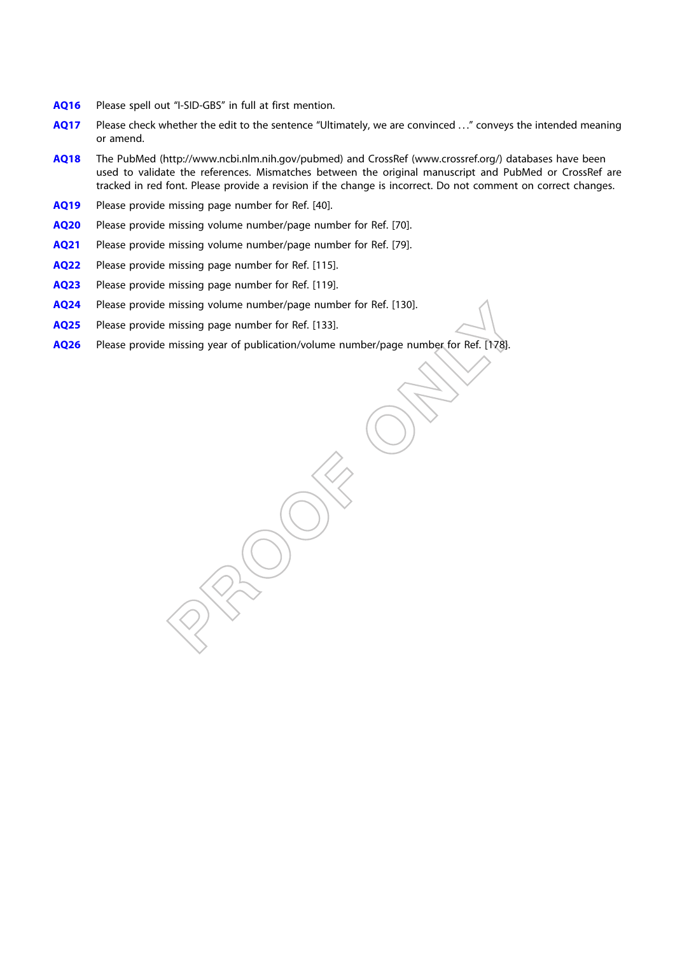- AQ16 Please spell out "I-SID-GBS" in full at first mention.
- AQ17 Please check whether the edit to the sentence "Ultimately, we are convinced ..." conveys the intended meaning or amend.
- AQ18 The PubMed (http://www.ncbi.nlm.nih.gov/pubmed) and CrossRef (www.crossref.org/) databases have been used to validate the references. Mismatches between the original manuscript and PubMed or CrossRef are tracked in red font. Please provide a revision if the change is incorrect. Do not comment on correct changes.
- AQ19 Please provide missing page number for Ref. [40].
- AQ20 Please provide missing volume number/page number for Ref. [70].
- AQ21 Please provide missing volume number/page number for Ref. [79].
- AQ22 Please provide missing page number for Ref. [115].
- AQ23 Please provide missing page number for Ref. [119].
- AQ24 Please provide missing volume number/page number for Ref. [130].
- AQ25 Please provide missing page number for Ref. [133].
- AQ26 Please provide missing year of publication/volume number/page number for Ref. [178].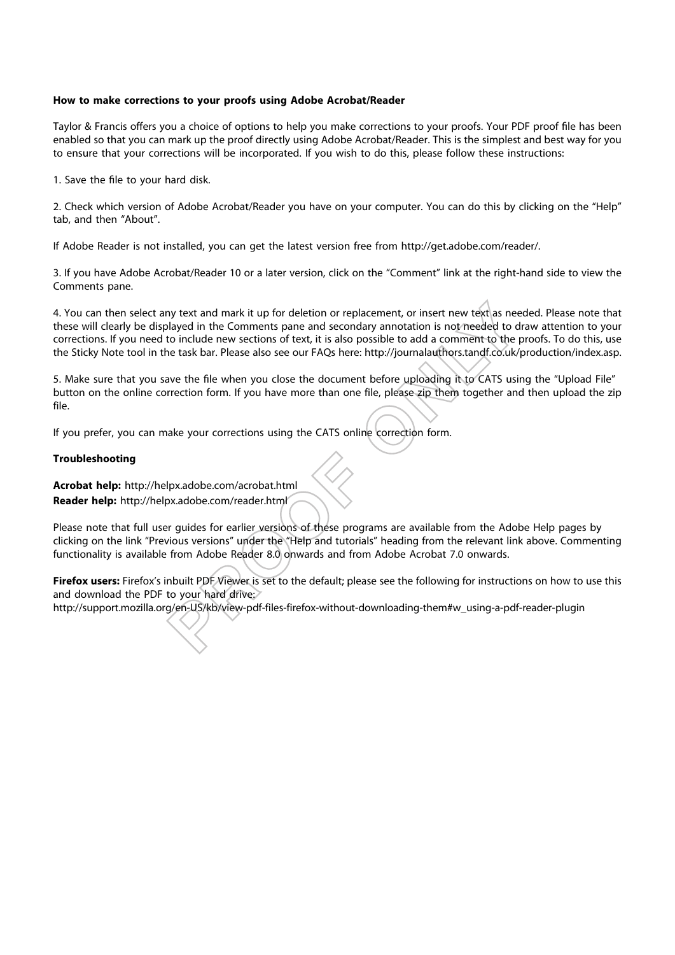# How to make corrections to your proofs using Adobe Acrobat/Reader

Taylor & Francis offers you a choice of options to help you make corrections to your proofs. Your PDF proof file has been enabled so that you can mark up the proof directly using Adobe Acrobat/Reader. This is the simplest and best way for you to ensure that your corrections will be incorporated. If you wish to do this, please follow these instructions:

1. Save the file to your hard disk.

2. Check which version of Adobe Acrobat/Reader you have on your computer. You can do this by clicking on the "Help" tab, and then "About".

If Adobe Reader is not installed, you can get the latest version free from http://get.adobe.com/reader/.

3. If you have Adobe Acrobat/Reader 10 or a later version, click on the "Comment" link at the right-hand side to view the Comments pane.

4. You can then select any text and mark it up for deletion or replacement, or insert new text as needed. Please note that these will clearly be displayed in the Comments pane and secondary annotation is not needed to draw attention to your corrections. If you need to include new sections of text, it is also possible to add a comment to the proofs. To do this, use the Sticky Note tool in the task bar. Please also see our FAQs here: http://journalauthors.tandf.co.uk/production/index.asp.

5. Make sure that you save the file when you close the document before uploading it to CATS using the "Upload File" button on the online correction form. If you have more than one file, please zip them together and then upload the zip file.

If you prefer, you can make your corrections using the CATS online correction form.

# Troubleshooting

Acrobat help: http://helpx.adobe.com/acrobat.html

Reader help: http://helpx.adobe.com/reader.html

Please note that full user guides for earlier versions of these programs are available from the Adobe Help pages by clicking on the link "Previous versions" under the "Help and tutorials" heading from the relevant link above. Commenting functionality is available from Adobe Reader 8.0 onwards and from Adobe Acrobat 7.0 onwards.

Firefox users: Firefox's inbuilt PDF Viewer is set to the default; please see the following for instructions on how to use this and download the PDF to your hard drive:

http://support.mozilla.org/en-US/kb/view-pdf-files-firefox-without-downloading-them#w\_using-a-pdf-reader-plugin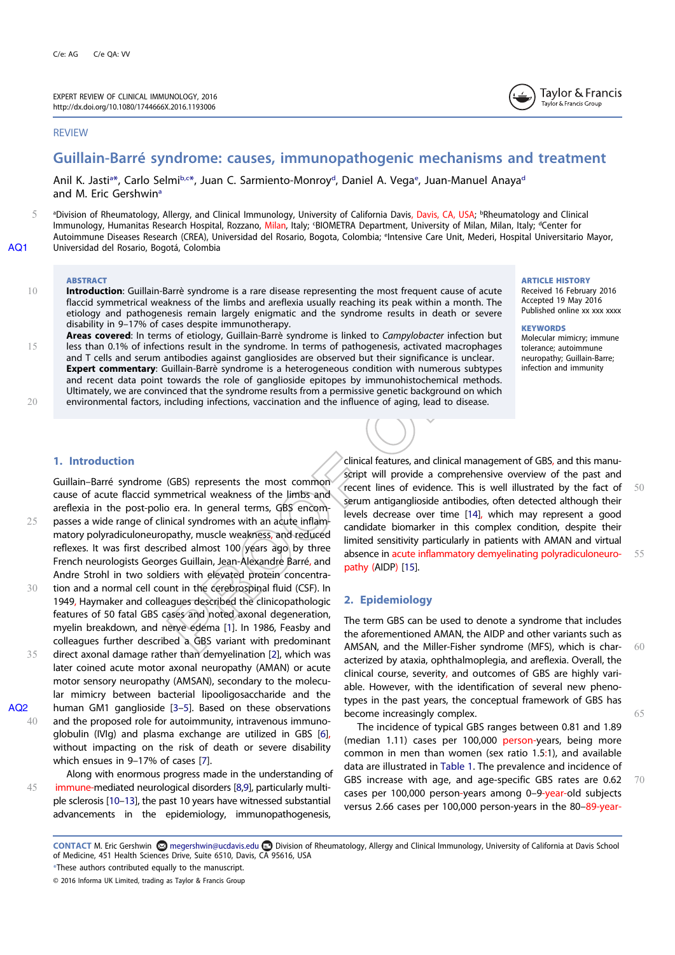#### REVIEW

# Guillain-Barré syndrome: causes, immunopathogenic mechanisms and treatment

Anil K. Jasti<sup>a\*</sup>, Carlo Selmi<sup>b,c\*</sup>, Juan C. Sarmiento-Monroy<sup>d</sup>, Daniel A. Vega<sup>e</sup>, Juan-Manuel Anaya<sup>d</sup> and M. Eric Gershwin<sup>a</sup>

5 aDivision of Rheumatology, Allergy, and Clinical Immunology, University of California Davis, Davis, CA, USA; PRheumatology and Clinical Immunology, Humanitas Research Hospital, Rozzano, Milan, Italy; 'BIOMETRA Department, University of Milan, Milan, Italy; <sup>d</sup>Center for Autoimmune Diseases Research (CREA), Universidad del Rosario, Bogota, Colombia; <sup>e</sup> Intensive Care Unit, Mederi, Hospital Universitario Mayor, AQ1 Universidad del Rosario, Bogotá, Colombia

#### **ABSTRACT**

10 Introduction: Guillain-Barrè syndrome is a rare disease representing the most frequent cause of acute flaccid symmetrical weakness of the limbs and areflexia usually reaching its peak within a month. The etiology and pathogenesis remain largely enigmatic and the syndrome results in death or severe disability in 9–17% of cases despite immunotherapy.

Areas covered: In terms of etiology, Guillain-Barrè syndrome is linked to Campylobacter infection but 15 less than 0.1% of infections result in the syndrome. In terms of pathogenesis, activated macrophages and T cells and serum antibodies against gangliosides are observed but their significance is unclear. Expert commentary: Guillain-Barrè syndrome is a heterogeneous condition with numerous subtypes and recent data point towards the role of ganglioside epitopes by immunohistochemical methods. Ultimately, we are convinced that the syndrome results from a permissive genetic background on which 20 environmental factors, including infections, vaccination and the influence of aging, lead to disease.

ARTICLE HISTORY

Received 16 February 2016 Accepted 19 May 2016 Published online xx xxx xxxx

**KEYWORDS** 

Molecular mimicry; immune tolerance; autoimmune neuropathy; Guillain-Barre; infection and immunity

### 1. Introduction

Guillain–Barré syndrome (GBS) represents the most common cause of acute flaccid symmetrical weakness of the limbs and areflexia in the post-polio era. In general terms, GBS encom-25 passes a wide range of clinical syndromes with an acute inflammatory polyradiculoneuropathy, muscle weakness, and reduced reflexes. It was first described almost 100 years ago by three French neurologists Georges Guillain, Jean-Alexandre Barré, and Andre Strohl in two soldiers with elevated protein concentra-

30 tion and a normal cell count in the cerebrospinal fluid (CSF). In 1949, Haymaker and colleagues described the clinicopathologic features of 50 fatal GBS cases and noted axonal degeneration, myelin breakdown, and nerve edema [1]. In 1986, Feasby and colleagues further described a GBS variant with predominant 35 direct axonal damage rather than demyelination [2], which was

later coined acute motor axonal neuropathy (AMAN) or acute motor sensory neuropathy (AMSAN), secondary to the molecular mimicry between bacterial lipooligosaccharide and the

globulin (IVIg) and plasma exchange are utilized in GBS [6], without impacting on the risk of death or severe disability

45 immune-mediated neurological disorders [8,9], particularly multiple sclerosis [10–13], the past 10 years have witnessed substantial advancements in the epidemiology, immunopathogenesis,

Along with enormous progress made in the understanding of

40 and the proposed role for autoimmunity, intravenous immuno-

script will provide a comprehensive overview of the past and recent lines of evidence. This is well illustrated by the fact of  $50$ serum antiganglioside antibodies, often detected although their levels decrease over time [14], which may represent a good candidate biomarker in this complex condition, despite their limited sensitivity particularly in patients with AMAN and virtual absence in acute inflammatory demyelinating polyradiculoneuro- 55 pathy (AIDP) [15].

clinical features, and clinical management of GBS, and this manu-

## 2. Epidemiology

The term GBS can be used to denote a syndrome that includes the aforementioned AMAN, the AIDP and other variants such as AMSAN, and the Miller-Fisher syndrome (MFS), which is char- 60 acterized by ataxia, ophthalmoplegia, and areflexia. Overall, the clinical course, severity, and outcomes of GBS are highly variable. However, with the identification of several new phenotypes in the past years, the conceptual framework of GBS has become increasingly complex. 65

The incidence of typical GBS ranges between 0.81 and 1.89 (median 1.11) cases per 100,000 person-years, being more common in men than women (sex ratio 1.5:1), and available data are illustrated in Table 1. The prevalence and incidence of GBS increase with age, and age-specific GBS rates are 0.62 70 cases per 100,000 person-years among 0-9-year-old subjects versus 2.66 cases per 100,000 person-years in the 80–89-year-

CONTACT M. Eric Gershwin megershwin@ucdavis.edu Division of Rheumatology, Allergy and Clinical Immunology, University of California at Davis School of Medicine, 451 Health Sciences Drive, Suite 6510, Davis, CA 95616, USA

\*These authors contributed equally to the manuscript.

© 2016 Informa UK Limited, trading as Taylor & Francis Group

which ensues in 9–17% of cases [7].

Taylor & Francis Taylor & Francis Group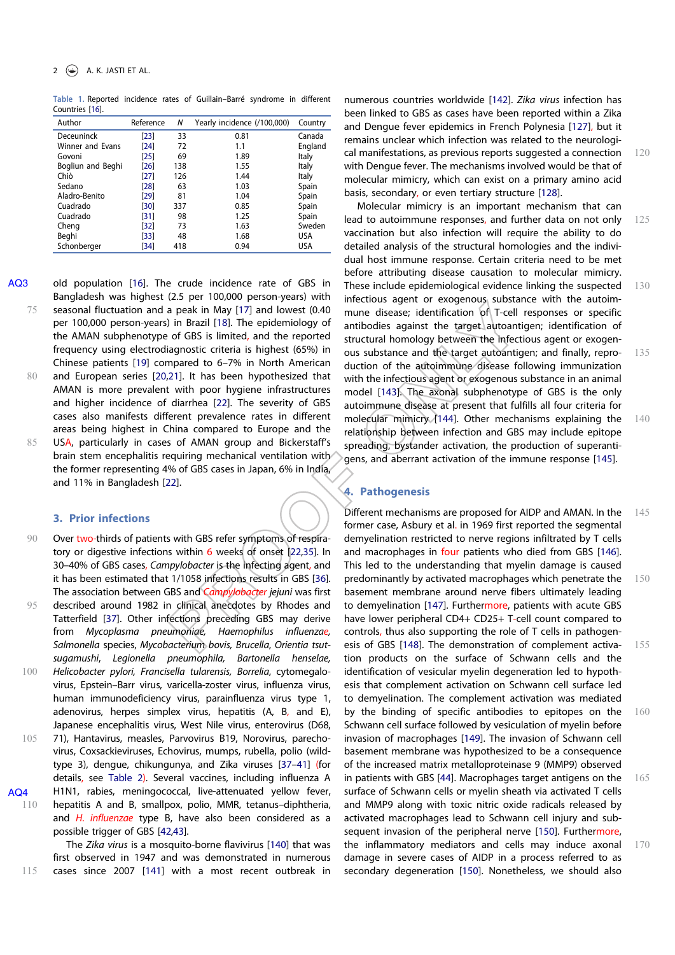Table 1. Reported incidence rates of Guillain–Barré syndrome in different Countries [16].

| Author            | Reference | N   | Yearly incidence (/100,000) | Country    |
|-------------------|-----------|-----|-----------------------------|------------|
| Deceuninck        | [23]      | 33  | 0.81                        | Canada     |
| Winner and Evans  | [24]      | 72  | 1.1                         | England    |
| Govoni            | [25]      | 69  | 1.89                        | Italy      |
| Bogliun and Beghi | [26]      | 138 | 1.55                        | Italy      |
| Chiò              | [27]      | 126 | 1.44                        | Italy      |
| Sedano            | [28]      | 63  | 1.03                        | Spain      |
| Aladro-Benito     | [29]      | 81  | 1.04                        | Spain      |
| Cuadrado          | [30]      | 337 | 0.85                        | Spain      |
| Cuadrado          | [31]      | 98  | 1.25                        | Spain      |
| Cheng             | [32]      | 73  | 1.63                        | Sweden     |
| Beghi             | [33]      | 48  | 1.68                        | <b>USA</b> |
| Schonberger       | [34]      | 418 | 0.94                        | <b>USA</b> |

AQ3 old population [16]. The crude incidence rate of GBS in Bangladesh was highest (2.5 per 100,000 person-years) with 75 seasonal fluctuation and a peak in May [17] and lowest (0.40 per 100,000 person-years) in Brazil [18]. The epidemiology of the AMAN subphenotype of GBS is limited, and the reported frequency using electrodiagnostic criteria is highest (65%) in Chinese patients [19] compared to 6–7% in North American 80 and European series [20,21]. It has been hypothesized that AMAN is more prevalent with poor hygiene infrastructures and higher incidence of diarrhea [22]. The severity of GBS cases also manifests different prevalence rates in different areas being highest in China compared to Europe and the 85 USA, particularly in cases of AMAN group and Bickerstaff's brain stem encephalitis requiring mechanical ventilation with the former representing 4% of GBS cases in Japan, 6% in India, and 11% in Bangladesh [22].

### 3. Prior infections

- 90 Over two-thirds of patients with GBS refer symptoms of respiratory or digestive infections within 6 weeks of onset [22,35]. In 30–40% of GBS cases, Campylobacter is the infecting agent, and it has been estimated that 1/1058 infections results in GBS [36]. The association between GBS and *Campylobacter jejuni* was first
- 95 described around 1982 in clinical anecdotes by Rhodes and Tatterfield [37]. Other infections preceding GBS may derive from Mycoplasma pneumoniae, Haemophilus influenzae, Salmonella species, Mycobacterium bovis, Brucella, Orientia tsutsugamushi, Legionella pneumophila, Bartonella henselae,
- 100 Helicobacter pylori, Francisella tularensis, Borrelia, cytomegalovirus, Epstein–Barr virus, varicella-zoster virus, influenza virus, human immunodeficiency virus, parainfluenza virus type 1, adenovirus, herpes simplex virus, hepatitis (A, B, and E), Japanese encephalitis virus, West Nile virus, enterovirus (D68,
- 105 71), Hantavirus, measles, Parvovirus B19, Norovirus, parechovirus, Coxsackieviruses, Echovirus, mumps, rubella, polio (wildtype 3), dengue, chikungunya, and Zika viruses [37–41] (for details, see Table 2). Several vaccines, including influenza A H1N1, rabies, meningococcal, live-attenuated yellow fever,  $AO4$ 
	- 110 hepatitis A and B, smallpox, polio, MMR, tetanus–diphtheria, and *H. influenzae* type B, have also been considered as a possible trigger of GBS [42,43].

The Zika virus is a mosquito-borne flavivirus [140] that was first observed in 1947 and was demonstrated in numerous 115 cases since 2007 [141] with a most recent outbreak in numerous countries worldwide [142]. Zika virus infection has been linked to GBS as cases have been reported within a Zika and Dengue fever epidemics in French Polynesia [127], but it remains unclear which infection was related to the neurological manifestations, as previous reports suggested a connection 120 with Dengue fever. The mechanisms involved would be that of molecular mimicry, which can exist on a primary amino acid basis, secondary, or even tertiary structure [128].

Molecular mimicry is an important mechanism that can lead to autoimmune responses, and further data on not only 125 vaccination but also infection will require the ability to do detailed analysis of the structural homologies and the individual host immune response. Certain criteria need to be met before attributing disease causation to molecular mimicry. These include epidemiological evidence linking the suspected 130 infectious agent or exogenous substance with the autoimmune disease; identification of T-cell responses or specific antibodies against the target autoantigen; identification of structural homology between the infectious agent or exogenous substance and the target autoantigen; and finally, repro- 135 duction of the autoimmune disease following immunization with the infectious agent or exogenous substance in an animal model [143]. The axonal subphenotype of GBS is the only autoimmune disease at present that fulfills all four criteria for molecular mimicry  $[144]$ . Other mechanisms explaining the  $140$ relationship between infection and GBS may include epitope spreading, bystander activation, the production of superantigens, and aberrant activation of the immune response [145].

### 4. Pathogenesis

Different mechanisms are proposed for AIDP and AMAN. In the 145 former case, Asbury et al. in 1969 first reported the segmental demyelination restricted to nerve regions infiltrated by T cells and macrophages in four patients who died from GBS [146]. This led to the understanding that myelin damage is caused predominantly by activated macrophages which penetrate the 150 basement membrane around nerve fibers ultimately leading to demyelination [147]. Furthermore, patients with acute GBS have lower peripheral CD4+ CD25+ T-cell count compared to controls, thus also supporting the role of T cells in pathogenesis of GBS [148]. The demonstration of complement activa- 155 tion products on the surface of Schwann cells and the identification of vesicular myelin degeneration led to hypothesis that complement activation on Schwann cell surface led to demyelination. The complement activation was mediated by the binding of specific antibodies to epitopes on the 160 Schwann cell surface followed by vesiculation of myelin before invasion of macrophages [149]. The invasion of Schwann cell basement membrane was hypothesized to be a consequence of the increased matrix metalloproteinase 9 (MMP9) observed in patients with GBS [44]. Macrophages target antigens on the 165 surface of Schwann cells or myelin sheath via activated T cells and MMP9 along with toxic nitric oxide radicals released by activated macrophages lead to Schwann cell injury and subsequent invasion of the peripheral nerve [150]. Furthermore, the inflammatory mediators and cells may induce axonal 170 damage in severe cases of AIDP in a process referred to as secondary degeneration [150]. Nonetheless, we should also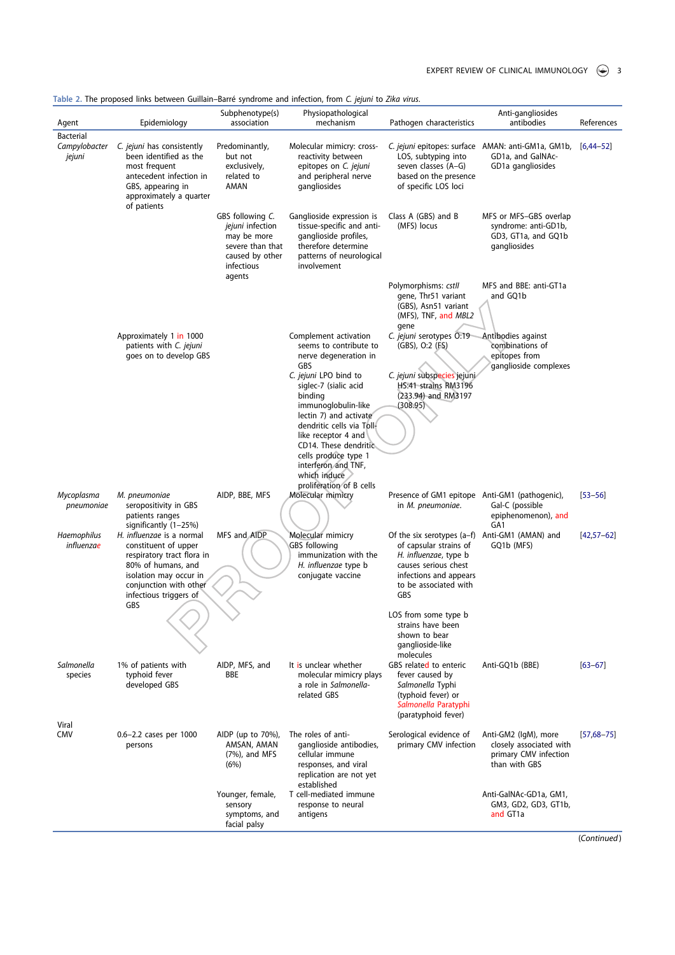|  |  | Table 2. The proposed links between Guillain-Barré syndrome and infection, from C. jejuni to Zika virus. |
|--|--|----------------------------------------------------------------------------------------------------------|
|--|--|----------------------------------------------------------------------------------------------------------|

| Agent                                | Epidemiology                                                                                                                                                                               | Subphenotype(s)<br>association                                                                                     | Physiopathological<br>mechanism                                                                                                                                                                                                                        | Pathogen characteristics                                                                                                                                                            | Anti-gangliosides<br>antibodies                                                              | References      |
|--------------------------------------|--------------------------------------------------------------------------------------------------------------------------------------------------------------------------------------------|--------------------------------------------------------------------------------------------------------------------|--------------------------------------------------------------------------------------------------------------------------------------------------------------------------------------------------------------------------------------------------------|-------------------------------------------------------------------------------------------------------------------------------------------------------------------------------------|----------------------------------------------------------------------------------------------|-----------------|
| Bacterial<br>Campylobacter<br>jejuni | C. jejuni has consistently<br>been identified as the<br>most frequent<br>antecedent infection in<br>GBS, appearing in<br>approximately a quarter<br>of patients                            | Predominantly,<br>but not<br>exclusively,<br>related to<br>AMAN                                                    | Molecular mimicry: cross-<br>reactivity between<br>epitopes on C. jejuni<br>and peripheral nerve<br>gangliosides                                                                                                                                       | LOS, subtyping into<br>seven classes (A-G)<br>based on the presence<br>of specific LOS loci                                                                                         | C. jejuni epitopes: surface AMAN: anti-GM1a, GM1b,<br>GD1a, and GalNAc-<br>GD1a gangliosides | $[6, 44 - 52]$  |
|                                      |                                                                                                                                                                                            | GBS following C.<br>jejuni infection<br>may be more<br>severe than that<br>caused by other<br>infectious<br>agents | Ganglioside expression is<br>tissue-specific and anti-<br>ganglioside profiles,<br>therefore determine<br>patterns of neurological<br>involvement                                                                                                      | Class A (GBS) and B<br>(MFS) locus                                                                                                                                                  | MFS or MFS-GBS overlap<br>syndrome: anti-GD1b,<br>GD3, GT1a, and GQ1b<br>gangliosides        |                 |
|                                      |                                                                                                                                                                                            |                                                                                                                    |                                                                                                                                                                                                                                                        | Polymorphisms: cstll<br>gene, Thr51 variant<br>(GBS), Asn51 variant<br>(MFS), TNF, and MBL2<br>gene                                                                                 | MFS and BBE: anti-GT1a<br>and GQ1b                                                           |                 |
|                                      | Approximately 1 in 1000<br>patients with C. jejuni<br>goes on to develop GBS                                                                                                               |                                                                                                                    | Complement activation<br>seems to contribute to<br>nerve degeneration in<br>GBS                                                                                                                                                                        | C. jejuni serotypes O:19<br>(GBS), O:2 (FS)                                                                                                                                         | Antibodies against<br>combinations of<br>epitopes from<br>ganglioside complexes              |                 |
|                                      |                                                                                                                                                                                            |                                                                                                                    | C. jejuni LPO bind to<br>siglec-7 (sialic acid<br>binding<br>immunoglobulin-like<br>lectin 7) and activate<br>dendritic cells via Toll-<br>like receptor 4 and<br>CD14. These dendritic<br>cells produce type 1<br>interferon and TNF,<br>which induce | C. jejuni subspecies jejuni<br>HS:41 strains RM3196<br>(233.94) and RM3197<br>(308.95)                                                                                              |                                                                                              |                 |
| Mycoplasma<br>pneumoniae             | M. pneumoniae<br>seropositivity in GBS<br>patients ranges<br>significantly (1-25%)                                                                                                         | AIDP, BBE, MFS                                                                                                     | proliferation of B cells<br>Molecular mimicry                                                                                                                                                                                                          | Presence of GM1 epitope Anti-GM1 (pathogenic),<br>in M. pneumoniae.                                                                                                                 | Gal-C (possible<br>epiphenomenon), and<br>GA <sub>1</sub>                                    | $[53 - 56]$     |
| Haemophilus<br>influenzae            | H. influenzae is a normal<br>constituent of upper<br>respiratory tract flora in<br>80% of humans, and<br>isolation may occur in<br>conjunction with other<br>infectious triggers of<br>GBS | MFS and AIDP                                                                                                       | Molecular mimicry<br><b>GBS</b> following<br>immunization with the<br>H. influenzae type b<br>conjugate vaccine                                                                                                                                        | Of the six serotypes (a-f) Anti-GM1 (AMAN) and<br>of capsular strains of<br>H. influenzae, type b<br>causes serious chest<br>infections and appears<br>to be associated with<br>GBS | GQ1b (MFS)                                                                                   | $[42, 57 - 62]$ |
|                                      |                                                                                                                                                                                            |                                                                                                                    |                                                                                                                                                                                                                                                        | LOS from some type b<br>strains have been<br>shown to bear<br>ganglioside-like<br>molecules                                                                                         |                                                                                              |                 |
| Salmonella<br>species                | 1% of patients with<br>typhoid fever<br>developed GBS                                                                                                                                      | AIDP, MFS, and<br>BBE                                                                                              | It is unclear whether<br>molecular mimicry plays<br>a role in Salmonella-<br>related GBS                                                                                                                                                               | GBS related to enteric<br>fever caused by<br>Salmonella Typhi<br>(typhoid fever) or<br>Salmonella Paratyphi<br>(paratyphoid fever)                                                  | Anti-GQ1b (BBE)                                                                              | $[63 - 67]$     |
| Viral<br><b>CMV</b>                  | 0.6-2.2 cases per 1000<br>persons                                                                                                                                                          | AIDP (up to 70%),<br>AMSAN, AMAN<br>$(7%)$ , and MFS<br>(6%)                                                       | The roles of anti-<br>ganglioside antibodies,<br>cellular immune<br>responses, and viral<br>replication are not yet<br>established                                                                                                                     | Serological evidence of<br>primary CMV infection                                                                                                                                    | Anti-GM2 (IgM), more<br>closely associated with<br>primary CMV infection<br>than with GBS    | $[57,68 - 75]$  |
|                                      |                                                                                                                                                                                            | Younger, female,<br>sensory<br>symptoms, and<br>facial palsy                                                       | T cell-mediated immune<br>response to neural<br>antigens                                                                                                                                                                                               |                                                                                                                                                                                     | Anti-GalNAc-GD1a, GM1,<br>GM3, GD2, GD3, GT1b,<br>and GT1a                                   |                 |

(Continued)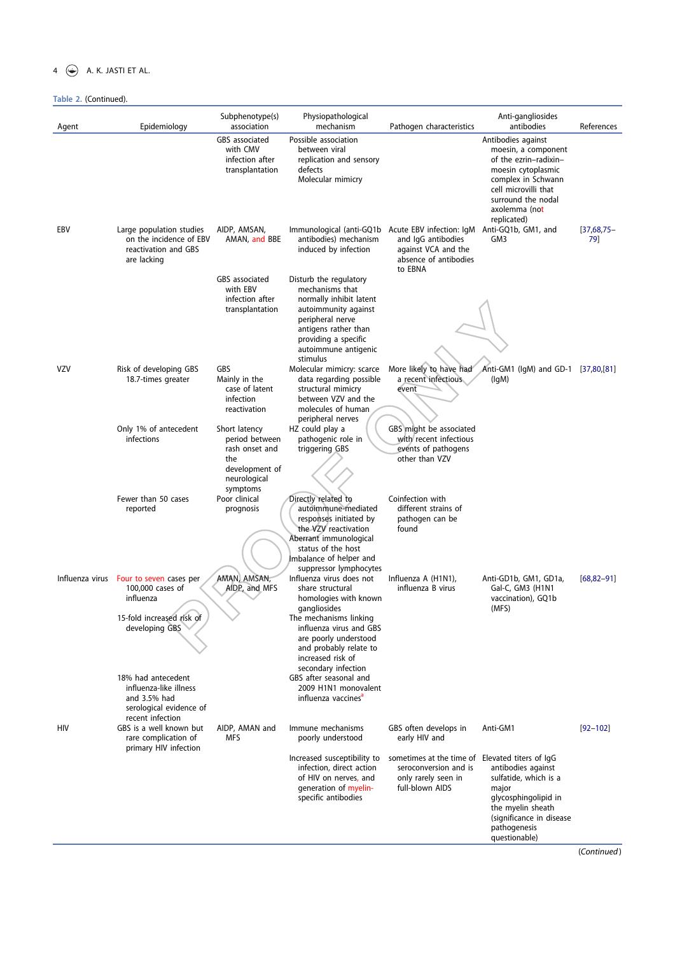# $4 \quad \circledast$  A. K. JASTI ET AL.

### Table 2. (Continued).

| Agent | Epidemiology                                                                                                            | Subphenotype(s)<br>association                                                                         | Physiopathological<br>mechanism                                                                                                                                                                                                           | Pathogen characteristics                                                                                           | Anti-gangliosides<br>antibodies                                                                                                                                                                                 | References          |
|-------|-------------------------------------------------------------------------------------------------------------------------|--------------------------------------------------------------------------------------------------------|-------------------------------------------------------------------------------------------------------------------------------------------------------------------------------------------------------------------------------------------|--------------------------------------------------------------------------------------------------------------------|-----------------------------------------------------------------------------------------------------------------------------------------------------------------------------------------------------------------|---------------------|
| EBV   | Large population studies<br>on the incidence of EBV<br>reactivation and GBS<br>are lacking                              | GBS associated<br>with CMV<br>infection after<br>transplantation<br>AIDP, AMSAN,<br>AMAN, and BBE      | Possible association<br>between viral<br>replication and sensory<br>defects<br>Molecular mimicry<br>Immunological (anti-GQ1b Acute EBV infection: IgM Anti-GQ1b, GM1, and<br>antibodies) mechanism<br>induced by infection                | and IqG antibodies<br>against VCA and the<br>absence of antibodies                                                 | Antibodies against<br>moesin, a component<br>of the ezrin-radixin-<br>moesin cytoplasmic<br>complex in Schwann<br>cell microvilli that<br>surround the nodal<br>axolemma (not<br>replicated)<br>GM <sub>3</sub> | $[37,68,75-$<br>79] |
|       |                                                                                                                         | GBS associated<br>with EBV<br>infection after<br>transplantation                                       | Disturb the regulatory<br>mechanisms that<br>normally inhibit latent<br>autoimmunity against<br>peripheral nerve<br>antigens rather than<br>providing a specific<br>autoimmune antigenic<br>stimulus                                      | to EBNA                                                                                                            |                                                                                                                                                                                                                 |                     |
| VZV   | Risk of developing GBS<br>18.7-times greater                                                                            | GBS<br>Mainly in the<br>case of latent<br>infection<br>reactivation                                    | Molecular mimicry: scarce<br>data regarding possible<br>structural mimicry<br>between VZV and the<br>molecules of human<br>peripheral nerves                                                                                              | More likely to have had<br>a recent infectious<br>event                                                            | Anti-GM1 (IgM) and GD-1<br>(lgM)                                                                                                                                                                                | [37,80, [81]        |
|       | Only 1% of antecedent<br>infections                                                                                     | Short latency<br>period between<br>rash onset and<br>the<br>development of<br>neurological<br>symptoms | HZ could play a<br>pathogenic role in<br>triggering GBS                                                                                                                                                                                   | GBS might be associated<br>with recent infectious<br>events of pathogens<br>other than VZV                         |                                                                                                                                                                                                                 |                     |
|       | Fewer than 50 cases<br>reported                                                                                         | Poor clinical<br>prognosis                                                                             | Directly related to<br>autoimmune-mediated<br>responses initiated by<br>the VZV reactivation<br>Aberrant immunological<br>status of the host<br>Imbalance of helper and<br>suppressor lymphocytes                                         | Coinfection with<br>different strains of<br>pathogen can be<br>found                                               |                                                                                                                                                                                                                 |                     |
|       | Influenza virus Four to seven cases per<br>100,000 cases of<br>influenza<br>15-fold increased risk of<br>developing GBS | AMAN, AMSAN,<br>AIDP, and MFS                                                                          | Influenza virus does not<br>share structural<br>homologies with known<br>gangliosides<br>The mechanisms linking<br>influenza virus and GBS<br>are poorly understood<br>and probably relate to<br>increased risk of<br>secondary infection | Influenza A (H1N1),<br>influenza B virus                                                                           | Anti-GD1b, GM1, GD1a,<br>Gal-C, GM3 (H1N1<br>vaccination), GQ1b<br>(MFS)                                                                                                                                        | $[68, 82 - 91]$     |
|       | 18% had antecedent<br>influenza-like illness<br>and 3.5% had<br>serological evidence of<br>recent infection             |                                                                                                        | GBS after seasonal and<br>2009 H1N1 monovalent<br>influenza vaccines <sup>a</sup>                                                                                                                                                         |                                                                                                                    |                                                                                                                                                                                                                 |                     |
| HIV   | GBS is a well known but<br>rare complication of<br>primary HIV infection                                                | AIDP, AMAN and<br><b>MFS</b>                                                                           | Immune mechanisms<br>poorly understood                                                                                                                                                                                                    | GBS often develops in<br>early HIV and                                                                             | Anti-GM1                                                                                                                                                                                                        | $[92 - 102]$        |
|       |                                                                                                                         |                                                                                                        | Increased susceptibility to<br>infection, direct action<br>of HIV on nerves, and<br>generation of myelin-<br>specific antibodies                                                                                                          | sometimes at the time of Elevated titers of IgG<br>seroconversion and is<br>only rarely seen in<br>full-blown AIDS | antibodies against<br>sulfatide, which is a<br>major<br>glycosphingolipid in<br>the myelin sheath<br>(significance in disease<br>pathogenesis<br>questionable)                                                  |                     |
|       |                                                                                                                         |                                                                                                        |                                                                                                                                                                                                                                           |                                                                                                                    |                                                                                                                                                                                                                 | (Continued)         |

(Continued)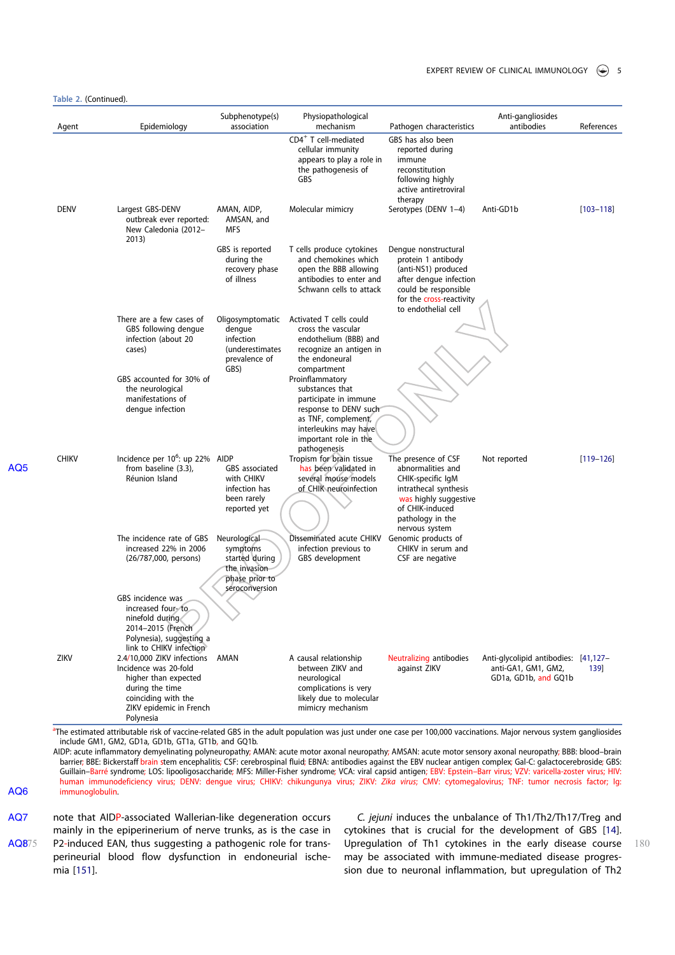### Table 2. (Continued).

| Agent        | Epidemiology                                                                                                                                                  | Subphenotype(s)<br>association                                                                 | Physiopathological<br>mechanism                                                                                                                                               | Pathogen characteristics                                                                                                                                                 | Anti-gangliosides<br>antibodies                                                     | References    |
|--------------|---------------------------------------------------------------------------------------------------------------------------------------------------------------|------------------------------------------------------------------------------------------------|-------------------------------------------------------------------------------------------------------------------------------------------------------------------------------|--------------------------------------------------------------------------------------------------------------------------------------------------------------------------|-------------------------------------------------------------------------------------|---------------|
|              |                                                                                                                                                               |                                                                                                | CD4 <sup>+</sup> T cell-mediated<br>cellular immunity<br>appears to play a role in<br>the pathogenesis of<br>GBS                                                              | GBS has also been<br>reported during<br>immune<br>reconstitution<br>following highly<br>active antiretroviral<br>therapy                                                 |                                                                                     |               |
| <b>DENV</b>  | Largest GBS-DENV<br>outbreak ever reported:<br>New Caledonia (2012-<br>2013)                                                                                  | AMAN, AIDP,<br>AMSAN, and<br>MFS                                                               | Molecular mimicry                                                                                                                                                             | Serotypes (DENV 1-4)                                                                                                                                                     | Anti-GD1b                                                                           | $[103 - 118]$ |
|              |                                                                                                                                                               | GBS is reported<br>during the<br>recovery phase<br>of illness                                  | T cells produce cytokines<br>and chemokines which<br>open the BBB allowing<br>antibodies to enter and<br>Schwann cells to attack                                              | Dengue nonstructural<br>protein 1 antibody<br>(anti-NS1) produced<br>after dengue infection<br>could be responsible<br>for the cross-reactivity<br>to endothelial cell   |                                                                                     |               |
|              | There are a few cases of<br>GBS following dengue<br>infection (about 20<br>cases)                                                                             | dengue<br>infection<br>(underestimates<br>prevalence of<br>GBS)                                | Oligosymptomatic Activated T cells could<br>cross the vascular<br>endothelium (BBB) and<br>recognize an antigen in<br>the endoneural<br>compartment                           |                                                                                                                                                                          |                                                                                     |               |
|              | GBS accounted for 30% of<br>the neurological<br>manifestations of<br>dengue infection                                                                         |                                                                                                | Proinflammatory<br>substances that<br>participate in immune<br>response to DENV such<br>as TNF, complement,<br>interleukins may have<br>important role in the<br>pathogenesis |                                                                                                                                                                          |                                                                                     |               |
| <b>CHIKV</b> | Incidence per $10^6$ : up 22% AIDP<br>from baseline (3.3),<br>Réunion Island                                                                                  | GBS associated<br>with CHIKV<br>infection has<br>been rarely<br>reported yet                   | Tropism for brain tissue<br>has been validated in<br>several mouse models<br>of CHIK neuroinfection                                                                           | The presence of CSF<br>abnormalities and<br>CHIK-specific IgM<br>intrathecal synthesis<br>was highly suggestive<br>of CHIK-induced<br>pathology in the<br>nervous system | Not reported                                                                        | $[119 - 126]$ |
|              | The incidence rate of GBS<br>increased 22% in 2006<br>(26/787,000, persons)                                                                                   | Neurological<br>symptoms<br>started during<br>the invasion<br>phase prior to<br>seroconversion | Disseminated acute CHIKV<br>infection previous to<br>GBS development                                                                                                          | Genomic products of<br>CHIKV in serum and<br>CSF are negative                                                                                                            |                                                                                     |               |
|              | GBS incidence was<br>increased four-to-<br>ninefold during<br>2014-2015 (French<br>Polynesia), suggesting a<br>link to CHIKV infection                        |                                                                                                |                                                                                                                                                                               |                                                                                                                                                                          |                                                                                     |               |
| ZIKV         | 2.4/10,000 ZIKV infections<br>Incidence was 20-fold<br>higher than expected<br>during the time<br>coinciding with the<br>ZIKV epidemic in French<br>Polynesia | AMAN                                                                                           | A causal relationship<br>between ZIKV and<br>neurological<br>complications is very<br>likely due to molecular<br>mimicry mechanism                                            | Neutralizing antibodies<br>against ZIKV                                                                                                                                  | Anti-glycolipid antibodies: [41,127-<br>anti-GA1, GM1, GM2,<br>GD1a, GD1b, and GQ1b | 139]          |

<sup>a</sup>The estimated attributable risk of vaccine-related GBS in the adult population was just under one case per 100,000 vaccinations. Major nervous system gangliosides include GM1, GM2, GD1a, GD1b, GT1a, GT1b, and GQ1b.

AIDP: acute inflammatory demyelinating polyneuropathy; AMAN: acute motor axonal neuropathy; AMSAN: acute motor sensory axonal neuropathy; BBB: blood–brain barrier; BBE: Bickerstaff brain stem encephalitis; CSF: cerebrospinal fluid; EBNA: antibodies against the EBV nuclear antigen complex; Gal-C: galactocerebroside; GBS: Guillain–Barré syndrome; LOS: lipooligosaccharide; MFS: Miller-Fisher syndrome; VCA: viral capsid antigen; EBV: Epstein–Barr virus; VZV: varicella-zoster virus; HIV: human immunodeficiency virus; DENV: dengue virus; CHIKV: chikungunya virus; ZIKV: Zika virus; CMV: cytomegalovirus; TNF: tumor necrosis factor; Ig: AQ6 immunoglobulin.

AQ7 note that AIDP-associated Wallerian-like degeneration occurs mainly in the epiperinerium of nerve trunks, as is the case in AQ875 P2-induced EAN, thus suggesting a pathogenic role for transperineurial blood flow dysfunction in endoneurial ischemia [151].

C. jejuni induces the unbalance of Th1/Th2/Th17/Treg and cytokines that is crucial for the development of GBS [14]. Upregulation of Th1 cytokines in the early disease course 180 may be associated with immune-mediated disease progression due to neuronal inflammation, but upregulation of Th2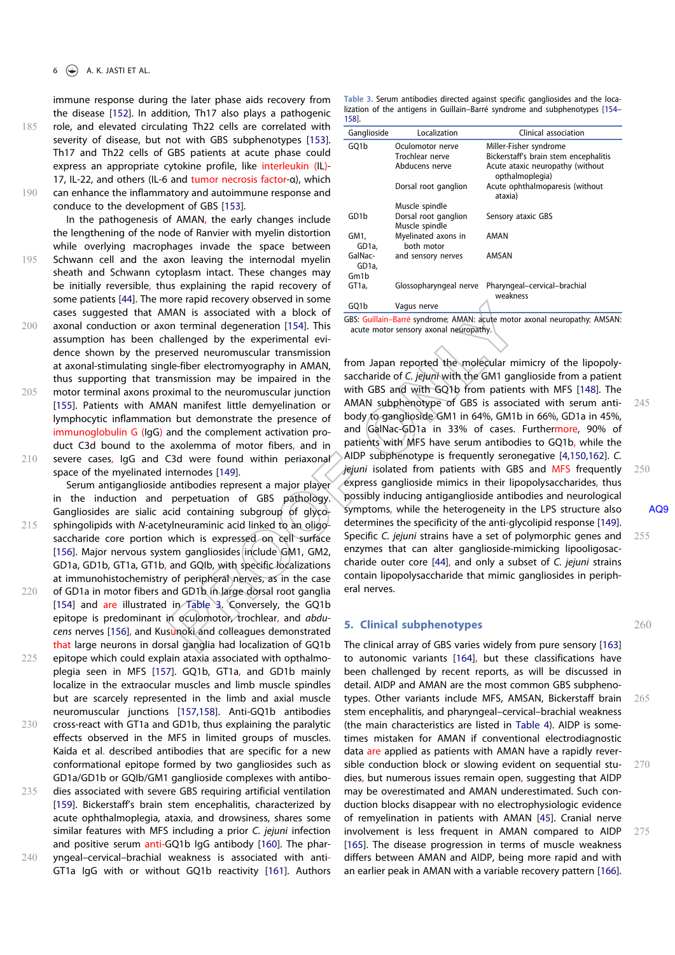immune response during the later phase aids recovery from the disease [152]. In addition, Th17 also plays a pathogenic 185 role, and elevated circulating Th22 cells are correlated with severity of disease, but not with GBS subphenotypes [153]. Th17 and Th22 cells of GBS patients at acute phase could express an appropriate cytokine profile, like interleukin (IL)- 17, IL-22, and others (IL-6 and tumor necrosis factor-α), which 190 can enhance the inflammatory and autoimmune response and

conduce to the development of GBS [153].

In the pathogenesis of AMAN, the early changes include the lengthening of the node of Ranvier with myelin distortion while overlying macrophages invade the space between 195 Schwann cell and the axon leaving the internodal myelin sheath and Schwann cytoplasm intact. These changes may be initially reversible, thus explaining the rapid recovery of some patients [44]. The more rapid recovery observed in some cases suggested that AMAN is associated with a block of 200 axonal conduction or axon terminal degeneration [154]. This assumption has been challenged by the experimental evidence shown by the preserved neuromuscular transmission

at axonal-stimulating single-fiber electromyography in AMAN, thus supporting that transmission may be impaired in the 205 motor terminal axons proximal to the neuromuscular junction [155]. Patients with AMAN manifest little demyelination or lymphocytic inflammation but demonstrate the presence of immunoglobulin G (IgG) and the complement activation product C3d bound to the axolemma of motor fibers, and in 210 severe cases, IgG and C3d were found within periaxonal space of the myelinated internodes [149].

Serum antiganglioside antibodies represent a major player in the induction and perpetuation of GBS pathology. Gangliosides are sialic acid containing subgroup of glyco-215 sphingolipids with N-acetylneuraminic acid linked to an oligosaccharide core portion which is expressed on cell surface [156]. Major nervous system gangliosides include GM1, GM2, GD1a, GD1b, GT1a, GT1b, and GQIb, with specific localizations at immunohistochemistry of peripheral nerves, as in the case 220 of GD1a in motor fibers and GD1b in large dorsal root ganglia [154] and are illustrated in Table 3. Conversely, the GQ1b epitope is predominant in oculomotor, trochlear, and abducens nerves [156], and Kusunoki and colleagues demonstrated that large neurons in dorsal ganglia had localization of GQ1b 225 epitope which could explain ataxia associated with opthalmoplegia seen in MFS [157]. GQ1b, GT1a, and GD1b mainly localize in the extraocular muscles and limb muscle spindles but are scarcely represented in the limb and axial muscle neuromuscular junctions [157,158]. Anti-GQ1b antibodies 230 cross-react with GT1a and GD1b, thus explaining the paralytic effects observed in the MFS in limited groups of muscles. Kaida et al. described antibodies that are specific for a new conformational epitope formed by two gangliosides such as GD1a/GD1b or GQIb/GM1 ganglioside complexes with antibo-235 dies associated with severe GBS requiring artificial ventilation

[159]. Bickerstaff's brain stem encephalitis, characterized by acute ophthalmoplegia, ataxia, and drowsiness, shares some similar features with MFS including a prior C. jejuni infection and positive serum anti-GQ1b IgG antibody [160]. The phar-

240 yngeal–cervical–brachial weakness is associated with anti-GT1a IgG with or without GQ1b reactivity [161]. Authors Table 3. Serum antibodies directed against specific gangliosides and the localization of the antigens in Guillain–Barré syndrome and subphenotypes [154– 158].

| Ganglioside       | Localization                      | Clinical association                                |
|-------------------|-----------------------------------|-----------------------------------------------------|
| GQ1b              | Oculomotor nerve                  | Miller-Fisher syndrome                              |
|                   | Trochlear nerve                   | Bickerstaff's brain stem encephalitis               |
|                   | Abducens nerve                    | Acute ataxic neuropathy (without<br>opthalmoplegia) |
|                   | Dorsal root ganglion              | Acute ophthalmoparesis (without<br>ataxia)          |
|                   | Muscle spindle                    |                                                     |
| GD <sub>1</sub> b | Dorsal root ganglion              | Sensory ataxic GBS                                  |
|                   | Muscle spindle                    |                                                     |
| GM1,<br>GD1a,     | Myelinated axons in<br>both motor | AMAN                                                |
| GalNac-<br>GD1a,  | and sensory nerves                | AMSAN                                               |
| Gm <sub>1</sub> b |                                   |                                                     |
| GT <sub>1a</sub>  | Glossopharyngeal nerve            | Pharyngeal-cervical-brachial<br>weakness            |
| GQ1b              | Vagus nerve                       |                                                     |
|                   |                                   |                                                     |

GBS: Guillain–Barré syndrome; AMAN: acute motor axonal neuropathy; AMSAN: acute motor sensory axonal neuropathy.

from Japan reported the molecular mimicry of the lipopolysaccharide of C. jejuni with the GM1 ganglioside from a patient with GBS and with GQ1b from patients with MFS [148]. The AMAN subphenotype of GBS is associated with serum anti- 245 body to ganglioside GM1 in 64%, GM1b in 66%, GD1a in 45%, and GalNac-GD1a in 33% of cases. Furthermore, 90% of patients with MFS have serum antibodies to GQ1b, while the AIDP subphenotype is frequently seronegative [4,150,162]. C. jejuni isolated from patients with GBS and MFS frequently 250 express ganglioside mimics in their lipopolysaccharides, thus possibly inducing antiganglioside antibodies and neurological symptoms, while the heterogeneity in the LPS structure also AQ9 determines the specificity of the anti-glycolipid response [149]. Specific C. jejuni strains have a set of polymorphic genes and 255 enzymes that can alter ganglioside-mimicking lipooligosaccharide outer core [44], and only a subset of C. jejuni strains contain lipopolysaccharide that mimic gangliosides in peripheral nerves.

### **5. Clinical subphenotypes** 260

The clinical array of GBS varies widely from pure sensory [163] to autonomic variants [164], but these classifications have been challenged by recent reports, as will be discussed in detail. AIDP and AMAN are the most common GBS subphenotypes. Other variants include MFS, AMSAN, Bickerstaff brain 265 stem encephalitis, and pharyngeal–cervical–brachial weakness (the main characteristics are listed in Table 4). AIDP is sometimes mistaken for AMAN if conventional electrodiagnostic data are applied as patients with AMAN have a rapidly reversible conduction block or slowing evident on sequential stu- 270 dies, but numerous issues remain open, suggesting that AIDP may be overestimated and AMAN underestimated. Such conduction blocks disappear with no electrophysiologic evidence of remyelination in patients with AMAN [45]. Cranial nerve involvement is less frequent in AMAN compared to AIDP 275 [165]. The disease progression in terms of muscle weakness differs between AMAN and AIDP, being more rapid and with an earlier peak in AMAN with a variable recovery pattern [166].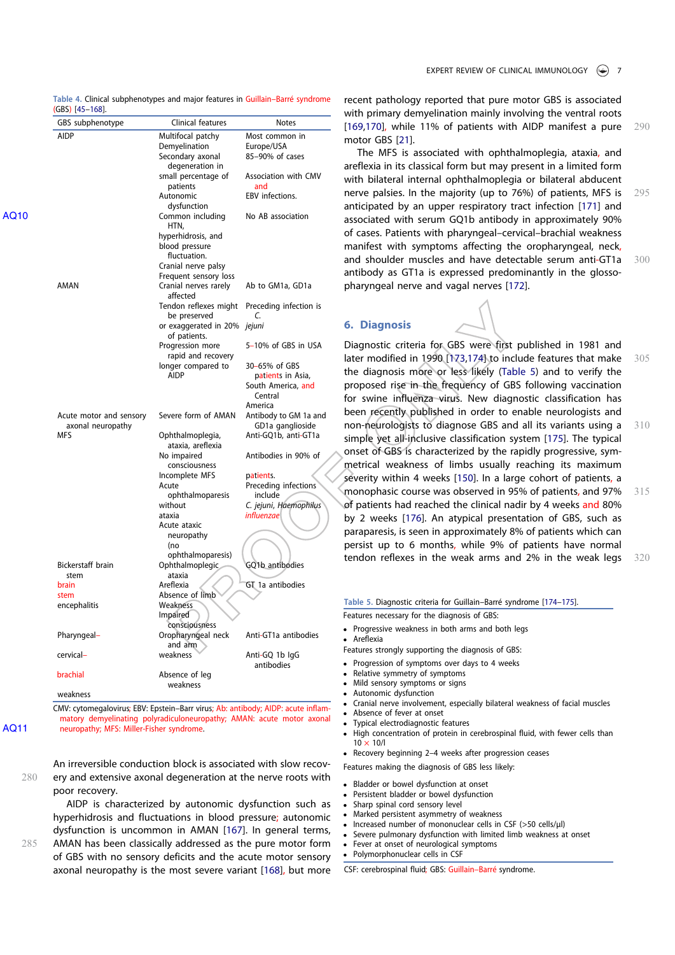| EXPERT REVIEW OF CLINICAL IMMUNOLOGY (+) 7 |  |  |
|--------------------------------------------|--|--|
|--------------------------------------------|--|--|

| Table 4. Clinical subphenotypes and major features in Guillain-Barré syndrome |  |  |  |
|-------------------------------------------------------------------------------|--|--|--|
| (GBS) [45-168].                                                               |  |  |  |
|                                                                               |  |  |  |

| GBS subphenotype                | Clinical features                            | <b>Notes</b>                                       |
|---------------------------------|----------------------------------------------|----------------------------------------------------|
| <b>AIDP</b>                     | Multifocal patchy<br>Demyelination           | Most common in<br>Europe/USA                       |
|                                 | Secondary axonal<br>degeneration in          | 85-90% of cases                                    |
|                                 | small percentage of<br>patients              | Association with CMV<br>and                        |
|                                 | Autonomic<br>dysfunction                     | EBV infections.                                    |
|                                 | Common including<br>HTN,                     | No AB association                                  |
|                                 | hyperhidrosis, and<br>blood pressure         |                                                    |
|                                 | fluctuation.                                 |                                                    |
|                                 | Cranial nerve palsy<br>Frequent sensory loss |                                                    |
| AMAN                            | Cranial nerves rarely<br>affected            | Ab to GM1a, GD1a                                   |
|                                 | Tendon reflexes might<br>be preserved        | Preceding infection is<br>C.                       |
|                                 | or exaggerated in 20%<br>of patients.        | jejuni                                             |
|                                 | Progression more<br>rapid and recovery       | 5-10% of GBS in USA                                |
|                                 | longer compared to<br><b>AIDP</b>            | 30-65% of GBS                                      |
|                                 |                                              | patients in Asia,<br>South America, and<br>Central |
| Acute motor and sensory         | Severe form of AMAN                          | America<br>Antibody to GM 1a and                   |
| axonal neuropathy<br><b>MFS</b> | Ophthalmoplegia,                             | GD1a ganglioside<br>Anti-GQ1b, anti-GT1a           |
|                                 | ataxia, areflexia<br>No impaired             | Antibodies in 90% of                               |
|                                 | consciousness<br>Incomplete MFS              | patients.                                          |
|                                 | Acute                                        | Preceding infections                               |
|                                 | ophthalmoparesis                             | include                                            |
|                                 | without<br>ataxia                            | C. jejuni, Haemophilus<br><i>influenzae</i>        |
|                                 | Acute ataxic<br>neuropathy                   |                                                    |
|                                 | (no<br>ophthalmoparesis)                     |                                                    |
| Bickerstaff brain               | Ophthalmoplegic                              | GQ1b antibodies                                    |
| stem                            | ataxia                                       |                                                    |
| brain<br>stem                   | Areflexia<br>Absence of limb                 | GT 1a antibodies                                   |
| encephalitis                    | Weakness<br>Impaired                         |                                                    |
| Pharyngeal-                     | consciousness<br>Oropharyngeal neck          | Anti-GT1a antibodies                               |
| cervical-                       | and arm<br>weakness                          | Anti-GQ 1b IgG<br>antibodies                       |
| brachial                        | Absence of leg<br>weakness                   |                                                    |
|                                 |                                              |                                                    |

weakness

CMV: cytomegalovirus; EBV: Epstein–Barr virus; Ab: antibody; AIDP: acute inflammatory demyelinating polyradiculoneuropathy; AMAN: acute motor axonal AQ11 neuropathy; MFS: Miller-Fisher syndrome.

An irreversible conduction block is associated with slow recov-280 ery and extensive axonal degeneration at the nerve roots with poor recovery.

AIDP is characterized by autonomic dysfunction such as hyperhidrosis and fluctuations in blood pressure; autonomic dysfunction is uncommon in AMAN [167]. In general terms, 285 AMAN has been classically addressed as the pure motor form of GBS with no sensory deficits and the acute motor sensory axonal neuropathy is the most severe variant [168], but more

recent pathology reported that pure motor GBS is associated with primary demyelination mainly involving the ventral roots [169,170], while 11% of patients with AIDP manifest a pure 290 motor GBS [21].

The MFS is associated with ophthalmoplegia, ataxia, and areflexia in its classical form but may present in a limited form with bilateral internal ophthalmoplegia or bilateral abducent nerve palsies. In the majority (up to 76%) of patients, MFS is 295 anticipated by an upper respiratory tract infection [171] and associated with serum GQ1b antibody in approximately 90% of cases. Patients with pharyngeal–cervical–brachial weakness manifest with symptoms affecting the oropharyngeal, neck, and shoulder muscles and have detectable serum anti-GT1a 300 antibody as GT1a is expressed predominantly in the glossopharyngeal nerve and vagal nerves [172].

# 6. Diagnosis



Diagnostic criteria for GBS were first published in 1981 and later modified in 1990 [173,174] to include features that make 305 the diagnosis more or less likely (Table 5) and to verify the proposed rise in the frequency of GBS following vaccination for swine influenza virus. New diagnostic classification has been recently published in order to enable neurologists and non-neurologists to diagnose GBS and all its variants using a 310 simple yet all-inclusive classification system [175]. The typical onset of GBS is characterized by the rapidly progressive, symmetrical weakness of limbs usually reaching its maximum severity within 4 weeks [150]. In a large cohort of patients, a monophasic course was observed in 95% of patients, and 97%  $315$ of patients had reached the clinical nadir by 4 weeks and 80% by 2 weeks [176]. An atypical presentation of GBS, such as paraparesis, is seen in approximately 8% of patients which can persist up to 6 months, while 9% of patients have normal tendon reflexes in the weak arms and  $2\%$  in the weak legs  $320$ 

Table 5. Diagnostic criteria for Guillain–Barré syndrome [174–175].

Features necessary for the diagnosis of GBS:

- Progressive weakness in both arms and both legs
- Areflexia
- Features strongly supporting the diagnosis of GBS:
- Progression of symptoms over days to 4 weeks
- Relative symmetry of symptoms
- Mild sensory symptoms or signs
- Autonomic dysfunction Cranial nerve involvement, especially bilateral weakness of facial muscles
- Absence of fever at onset
- Typical electrodiagnostic features
- High concentration of protein in cerebrospinal fluid, with fewer cells than  $10 \times 10/l$
- Recovery beginning 2-4 weeks after progression ceases

Features making the diagnosis of GBS less likely:

- Bladder or bowel dysfunction at onset
- Persistent bladder or bowel dysfunction
- Sharp spinal cord sensory level
- Marked persistent asymmetry of weakness
- Increased number of mononuclear cells in CSF ( $>50$  cells/ $\mu$ l) • Severe pulmonary dysfunction with limited limb weakness at onset
- Fever at onset of neurological symptoms
- Polymorphonuclear cells in CSF

CSF: cerebrospinal fluid; GBS: Guillain–Barré syndrome.

AQ10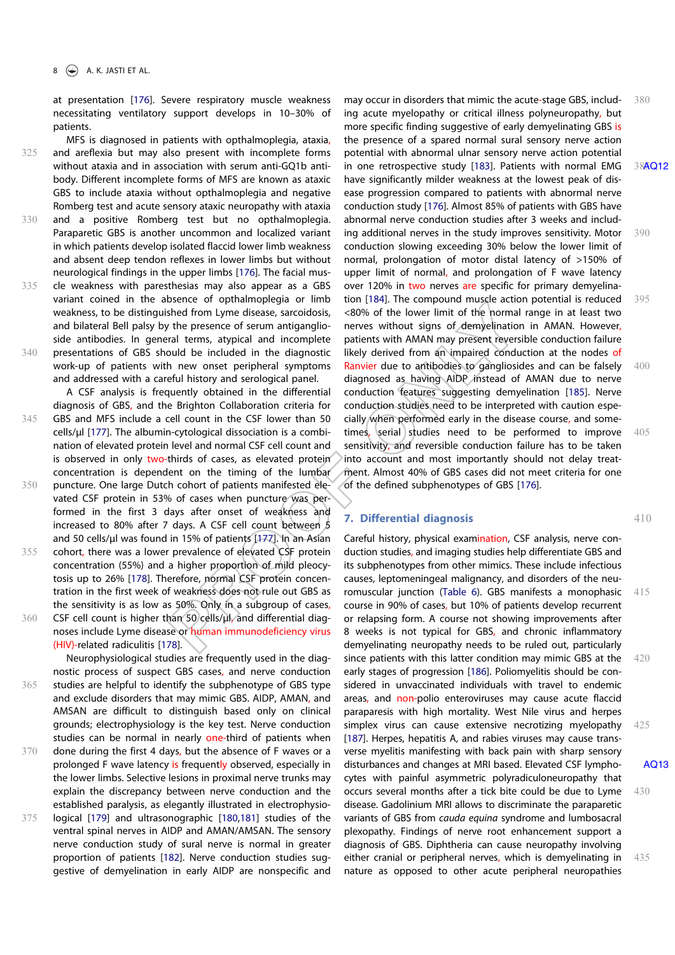at presentation [176]. Severe respiratory muscle weakness necessitating ventilatory support develops in 10–30% of patients.

MFS is diagnosed in patients with opthalmoplegia, ataxia, 325 and areflexia but may also present with incomplete forms without ataxia and in association with serum anti-GQ1b antibody. Different incomplete forms of MFS are known as ataxic GBS to include ataxia without opthalmoplegia and negative Romberg test and acute sensory ataxic neuropathy with ataxia 330 and a positive Romberg test but no opthalmoplegia. Paraparetic GBS is another uncommon and localized variant in which patients develop isolated flaccid lower limb weakness and absent deep tendon reflexes in lower limbs but without neurological findings in the upper limbs [176]. The facial mus-335 cle weakness with paresthesias may also appear as a GBS variant coined in the absence of opthalmoplegia or limb weakness, to be distinguished from Lyme disease, sarcoidosis, and bilateral Bell palsy by the presence of serum antiganglioside antibodies. In general terms, atypical and incomplete

340 presentations of GBS should be included in the diagnostic

work-up of patients with new onset peripheral symptoms and addressed with a careful history and serological panel.

A CSF analysis is frequently obtained in the differential diagnosis of GBS, and the Brighton Collaboration criteria for 345 GBS and MFS include a cell count in the CSF lower than 50 cells/μl [177]. The albumin-cytological dissociation is a combination of elevated protein level and normal CSF cell count and is observed in only two-thirds of cases, as elevated protein concentration is dependent on the timing of the lumbar 350 puncture. One large Dutch cohort of patients manifested ele-

- vated CSF protein in 53% of cases when puncture was performed in the first 3 days after onset of weakness and increased to 80% after 7 days. A CSF cell count between 5 and 50 cells/ul was found in 15% of patients [177]. In an Asian 355 cohort, there was a lower prevalence of elevated CSF protein concentration (55%) and a higher proportion of mild pleocy-
- tosis up to 26% [178]. Therefore, normal CSF protein concentration in the first week of weakness does not rule out GBS as the sensitivity is as low as 50%. Only in a subgroup of cases, 360 CSF cell count is higher than 50 cells/ul, and differential diagnoses include Lyme disease or human immunodeficiency virus (HIV)-related radiculitis [178].

Neurophysiological studies are frequently used in the diagnostic process of suspect GBS cases, and nerve conduction 365 studies are helpful to identify the subphenotype of GBS type and exclude disorders that may mimic GBS. AIDP, AMAN, and AMSAN are difficult to distinguish based only on clinical grounds; electrophysiology is the key test. Nerve conduction studies can be normal in nearly one-third of patients when 370 done during the first 4 days, but the absence of F waves or a prolonged F wave latency is frequently observed, especially in the lower limbs. Selective lesions in proximal nerve trunks may explain the discrepancy between nerve conduction and the established paralysis, as elegantly illustrated in electrophysio-375 logical [179] and ultrasonographic [180,181] studies of the ventral spinal nerves in AIDP and AMAN/AMSAN. The sensory nerve conduction study of sural nerve is normal in greater

proportion of patients [182]. Nerve conduction studies suggestive of demyelination in early AIDP are nonspecific and

ing acute myelopathy or critical illness polyneuropathy, but more specific finding suggestive of early demyelinating GBS is the presence of a spared normal sural sensory nerve action potential with abnormal ulnar sensory nerve action potential in one retrospective study [183]. Patients with normal EMG 38AQ12 have significantly milder weakness at the lowest peak of disease progression compared to patients with abnormal nerve conduction study [176]. Almost 85% of patients with GBS have abnormal nerve conduction studies after 3 weeks and including additional nerves in the study improves sensitivity. Motor 390 conduction slowing exceeding 30% below the lower limit of normal, prolongation of motor distal latency of >150% of upper limit of normal, and prolongation of F wave latency over 120% in two nerves are specific for primary demyelination [184]. The compound muscle action potential is reduced 395 <80% of the lower limit of the normal range in at least two nerves without signs of demyelination in AMAN. However, patients with AMAN may present reversible conduction failure likely derived from an impaired conduction at the nodes of Ranvier due to antibodies to gangliosides and can be falsely 400 diagnosed as having AIDP instead of AMAN due to nerve conduction features suggesting demyelination [185]. Nerve conduction studies need to be interpreted with caution especially when performed early in the disease course, and sometimes, serial studies need to be performed to improve  $405$ sensitivity, and reversible conduction failure has to be taken into account and most importantly should not delay treatment. Almost 40% of GBS cases did not meet criteria for one of the defined subphenotypes of GBS [176].

may occur in disorders that mimic the acute-stage GBS, includ- 380

### **7. Differential diagnosis** 410

Careful history, physical examination, CSF analysis, nerve conduction studies, and imaging studies help differentiate GBS and its subphenotypes from other mimics. These include infectious causes, leptomeningeal malignancy, and disorders of the neuromuscular junction (Table 6). GBS manifests a monophasic 415 course in 90% of cases, but 10% of patients develop recurrent or relapsing form. A course not showing improvements after 8 weeks is not typical for GBS, and chronic inflammatory demyelinating neuropathy needs to be ruled out, particularly since patients with this latter condition may mimic GBS at the 420 early stages of progression [186]. Poliomyelitis should be considered in unvaccinated individuals with travel to endemic areas, and non-polio enteroviruses may cause acute flaccid paraparesis with high mortality. West Nile virus and herpes simplex virus can cause extensive necrotizing myelopathy 425 [187]. Herpes, hepatitis A, and rabies viruses may cause transverse myelitis manifesting with back pain with sharp sensory disturbances and changes at MRI based. Elevated CSF lympho-<br>AQ13 cytes with painful asymmetric polyradiculoneuropathy that occurs several months after a tick bite could be due to Lyme 430 disease. Gadolinium MRI allows to discriminate the paraparetic variants of GBS from cauda equina syndrome and lumbosacral plexopathy. Findings of nerve root enhancement support a diagnosis of GBS. Diphtheria can cause neuropathy involving either cranial or peripheral nerves, which is demyelinating in 435 nature as opposed to other acute peripheral neuropathies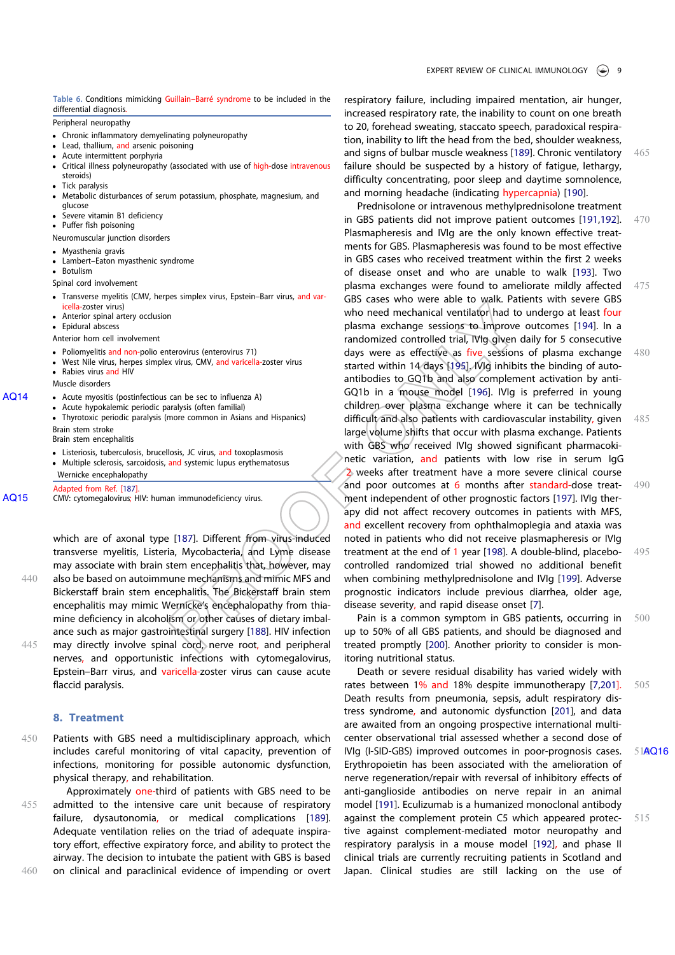Table 6. Conditions mimicking Guillain–Barré syndrome to be included in the differential diagnosis.

Peripheral neuropathy

- Chronic inflammatory demyelinating polyneuropathy
- Lead, thallium, and arsenic poisoning
- Acute intermittent porphyria
- Critical illness polyneuropathy (associated with use of high-dose intravenous steroids)
- **Tick paralysis**
- Metabolic disturbances of serum potassium, phosphate, magnesium, and glucose
- Severe vitamin B1 deficiency
- Puffer fish poisoning
- Neuromuscular junction disorders
- Myasthenia gravis Lambert–Eaton myasthenic syndrome
- **Botulism**

Spinal cord involvement

- Transverse myelitis (CMV, herpes simplex virus, Epstein–Barr virus, and varicella-zoster virus)
- Anterior spinal artery occlusion
- **Epidural abscess**
- Anterior horn cell involvement
- Poliomyelitis and non-polio enterovirus (enterovirus 71)
- West Nile virus, herpes simplex virus, CMV, and varicella-zoster virus
- Rabies virus and HIV

Muscle disorders

- AQ14 Acute myositis (postinfectious can be sec to influenza A)
	- Acute hypokalemic periodic paralysis (often familial)
	- Thyrotoxic periodic paralysis (more common in Asians and Hispanics) Brain stem stroke

Brain stem encephalitis

- Listeriosis, tuberculosis, brucellosis, JC virus, and toxoplasmosis
- Multiple sclerosis, sarcoidosis, and systemic lupus erythematosus Wernicke encephalopathy

Adapted from Ref. [187].

AQ15 CMV: cytomegalovirus; HIV: human immunodeficiency virus.

which are of axonal type [187]. Different from virus-induced transverse myelitis, Listeria, Mycobacteria, and Lyme disease may associate with brain stem encephalitis that, however, may 440 also be based on autoimmune mechanisms and mimic MFS and Bickerstaff brain stem encephalitis. The Bickerstaff brain stem encephalitis may mimic Wernicke's encephalopathy from thiamine deficiency in alcoholism or other causes of dietary imbalance such as major gastrointestinal surgery [188]. HIV infection

445 may directly involve spinal cord, nerve root, and peripheral nerves, and opportunistic infections with cytomegalovirus, Epstein–Barr virus, and varicella-zoster virus can cause acute flaccid paralysis.

### 8. Treatment

450 Patients with GBS need a multidisciplinary approach, which includes careful monitoring of vital capacity, prevention of infections, monitoring for possible autonomic dysfunction, physical therapy, and rehabilitation.

Approximately one-third of patients with GBS need to be 455 admitted to the intensive care unit because of respiratory failure, dysautonomia, or medical complications [189]. Adequate ventilation relies on the triad of adequate inspiratory effort, effective expiratory force, and ability to protect the airway. The decision to intubate the patient with GBS is based 460 on clinical and paraclinical evidence of impending or overt

respiratory failure, including impaired mentation, air hunger, increased respiratory rate, the inability to count on one breath to 20, forehead sweating, staccato speech, paradoxical respiration, inability to lift the head from the bed, shoulder weakness, and signs of bulbar muscle weakness [189]. Chronic ventilatory 465 failure should be suspected by a history of fatigue, lethargy, difficulty concentrating, poor sleep and daytime somnolence, and morning headache (indicating hypercapnia) [190].

Prednisolone or intravenous methylprednisolone treatment in GBS patients did not improve patient outcomes [191,192]. 470 Plasmapheresis and IVIg are the only known effective treatments for GBS. Plasmapheresis was found to be most effective in GBS cases who received treatment within the first 2 weeks of disease onset and who are unable to walk [193]. Two plasma exchanges were found to ameliorate mildly affected  $475$ GBS cases who were able to walk. Patients with severe GBS who need mechanical ventilator had to undergo at least four plasma exchange sessions to improve outcomes [194]. In a randomized controlled trial, IVIg given daily for 5 consecutive days were as effective as five sessions of plasma exchange 480 started within 14 days [195]. IVIg inhibits the binding of autoantibodies to GQ1b and also complement activation by anti-GQ1b in a mouse model [196]. IVIg is preferred in young children over plasma exchange where it can be technically difficult and also patients with cardiovascular instability, given 485 large volume shifts that occur with plasma exchange. Patients with GBS who received IVIg showed significant pharmacokinetic variation, and patients with low rise in serum IgG 2 weeks after treatment have a more severe clinical course and poor outcomes at 6 months after standard-dose treat- 490 ment independent of other prognostic factors [197]. IVIg therapy did not affect recovery outcomes in patients with MFS, and excellent recovery from ophthalmoplegia and ataxia was noted in patients who did not receive plasmapheresis or IVIg treatment at the end of 1 year [198]. A double-blind, placebo- 495 controlled randomized trial showed no additional benefit when combining methylprednisolone and IVIg [199]. Adverse prognostic indicators include previous diarrhea, older age, disease severity, and rapid disease onset [7].

Pain is a common symptom in GBS patients, occurring in 500 up to 50% of all GBS patients, and should be diagnosed and treated promptly [200]. Another priority to consider is monitoring nutritional status.

Death or severe residual disability has varied widely with rates between 1% and 18% despite immunotherapy [7,201]. 505 Death results from pneumonia, sepsis, adult respiratory distress syndrome, and autonomic dysfunction [201], and data are awaited from an ongoing prospective international multicenter observational trial assessed whether a second dose of IVIg (I-SID-GBS) improved outcomes in poor-prognosis cases.  $51AQ16$ Erythropoietin has been associated with the amelioration of nerve regeneration/repair with reversal of inhibitory effects of anti-ganglioside antibodies on nerve repair in an animal model [191]. Eculizumab is a humanized monoclonal antibody against the complement protein C5 which appeared protec- 515 tive against complement-mediated motor neuropathy and respiratory paralysis in a mouse model [192], and phase II clinical trials are currently recruiting patients in Scotland and Japan. Clinical studies are still lacking on the use of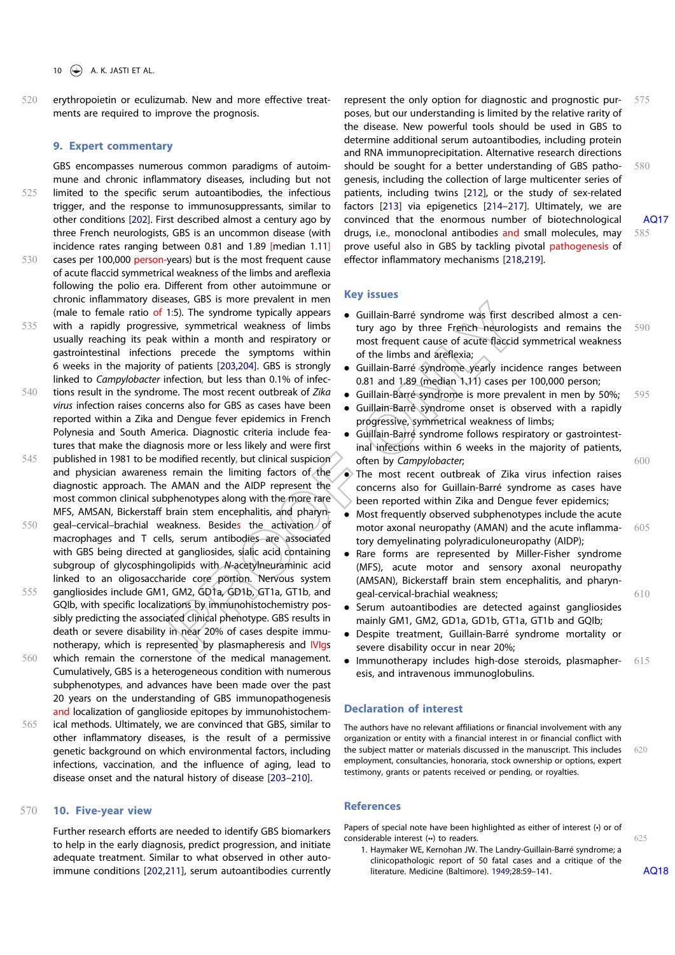### 10  $\left(\frac{1}{2}\right)$  A. K. JASTI ET AL.

520 erythropoietin or eculizumab. New and more effective treatments are required to improve the prognosis.

### 9. Expert commentary

GBS encompasses numerous common paradigms of autoimmune and chronic inflammatory diseases, including but not 525 limited to the specific serum autoantibodies, the infectious trigger, and the response to immunosuppressants, similar to other conditions [202]. First described almost a century ago by three French neurologists, GBS is an uncommon disease (with incidence rates ranging between 0.81 and 1.89 [median 1.11] 530 cases per 100,000 person-years) but is the most frequent cause of acute flaccid symmetrical weakness of the limbs and areflexia following the polio era. Different from other autoimmune or chronic inflammatory diseases, GBS is more prevalent in men (male to female ratio of 1:5). The syndrome typically appears 535 with a rapidly progressive, symmetrical weakness of limbs usually reaching its peak within a month and respiratory or

- gastrointestinal infections precede the symptoms within 6 weeks in the majority of patients [203,204]. GBS is strongly linked to Campylobacter infection, but less than 0.1% of infec-540 tions result in the syndrome. The most recent outbreak of Zika virus infection raises concerns also for GBS as cases have been
- reported within a Zika and Dengue fever epidemics in French Polynesia and South America. Diagnostic criteria include features that make the diagnosis more or less likely and were first
- 545 published in 1981 to be modified recently, but clinical suspicion and physician awareness remain the limiting factors of the diagnostic approach. The AMAN and the AIDP represent the most common clinical subphenotypes along with the more rare MFS, AMSAN, Bickerstaff brain stem encephalitis, and pharyn-
- 550 geal–cervical–brachial weakness. Besides the activation of macrophages and T cells, serum antibodies are associated with GBS being directed at gangliosides, sialic acid containing subgroup of glycosphingolipids with N-acetylneuraminic acid linked to an oligosaccharide core portion. Nervous system
- 555 gangliosides include GM1, GM2, GD1a, GD1b, GT1a, GT1b, and GQIb, with specific localizations by immunohistochemistry possibly predicting the associated clinical phenotype. GBS results in death or severe disability in near 20% of cases despite immunotherapy, which is represented by plasmapheresis and IVIgs
- 560 which remain the cornerstone of the medical management. Cumulatively, GBS is a heterogeneous condition with numerous subphenotypes, and advances have been made over the past 20 years on the understanding of GBS immunopathogenesis and localization of ganglioside epitopes by immunohistochem-565 ical methods. Ultimately, we are convinced that GBS, similar to
	- other inflammatory diseases, is the result of a permissive genetic background on which environmental factors, including infections, vaccination, and the influence of aging, lead to disease onset and the natural history of disease [203–210].

### 570 10. Five-year view

Further research efforts are needed to identify GBS biomarkers to help in the early diagnosis, predict progression, and initiate adequate treatment. Similar to what observed in other autoimmune conditions [202,211], serum autoantibodies currently represent the only option for diagnostic and prognostic pur- 575 poses, but our understanding is limited by the relative rarity of the disease. New powerful tools should be used in GBS to determine additional serum autoantibodies, including protein and RNA immunoprecipitation. Alternative research directions should be sought for a better understanding of GBS patho- 580 genesis, including the collection of large multicenter series of patients, including twins [212], or the study of sex-related factors [213] via epigenetics [214–217]. Ultimately, we are convinced that the enormous number of biotechnological AQ17 drugs, i.e., monoclonal antibodies and small molecules, may 585 prove useful also in GBS by tackling pivotal pathogenesis of effector inflammatory mechanisms [218,219].

### Key issues

- Guillain-Barré syndrome was first described almost a century ago by three French neurologists and remains the 590 most frequent cause of acute flaccid symmetrical weakness of the limbs and areflexia;
- Guillain-Barré syndrome yearly incidence ranges between 0.81 and 1.89 (median 1.11) cases per 100,000 person;
- Guillain-Barré syndrome is more prevalent in men by 50%;  $595$
- Guillain-Barré syndrome onset is observed with a rapidly progressive, symmetrical weakness of limbs;
- Guillain-Barré syndrome follows respiratory or gastrointestinal infections within 6 weeks in the majority of patients, often by Campylobacter; example to the set of  $600$
- The most recent outbreak of Zika virus infection raises concerns also for Guillain-Barré syndrome as cases have been reported within Zika and Dengue fever epidemics;
- Most frequently observed subphenotypes include the acute motor axonal neuropathy (AMAN) and the acute inflamma- 605 tory demyelinating polyradiculoneuropathy (AIDP);
- Rare forms are represented by Miller-Fisher syndrome (MFS), acute motor and sensory axonal neuropathy (AMSAN), Bickerstaff brain stem encephalitis, and pharyngeal-cervical-brachial weakness; 610
- Serum autoantibodies are detected against gangliosides mainly GM1, GM2, GD1a, GD1b, GT1a, GT1b and GQIb;
- Despite treatment, Guillain-Barré syndrome mortality or severe disability occur in near 20%;
- Immunotherapy includes high-dose steroids, plasmapher- 615 esis, and intravenous immunoglobulins.

### Declaration of interest

The authors have no relevant affiliations or financial involvement with any organization or entity with a financial interest in or financial conflict with the subject matter or materials discussed in the manuscript. This includes 620 employment, consultancies, honoraria, stock ownership or options, expert testimony, grants or patents received or pending, or royalties.

### References

Papers of special note have been highlighted as either of interest (•) or of considerable interest (••) to readers. 625

1. Haymaker WE, Kernohan JW. The Landry-Guillain-Barré syndrome; a clinicopathologic report of 50 fatal cases and a critique of the literature. Medicine (Baltimore). 1949;28:59-141. AQ18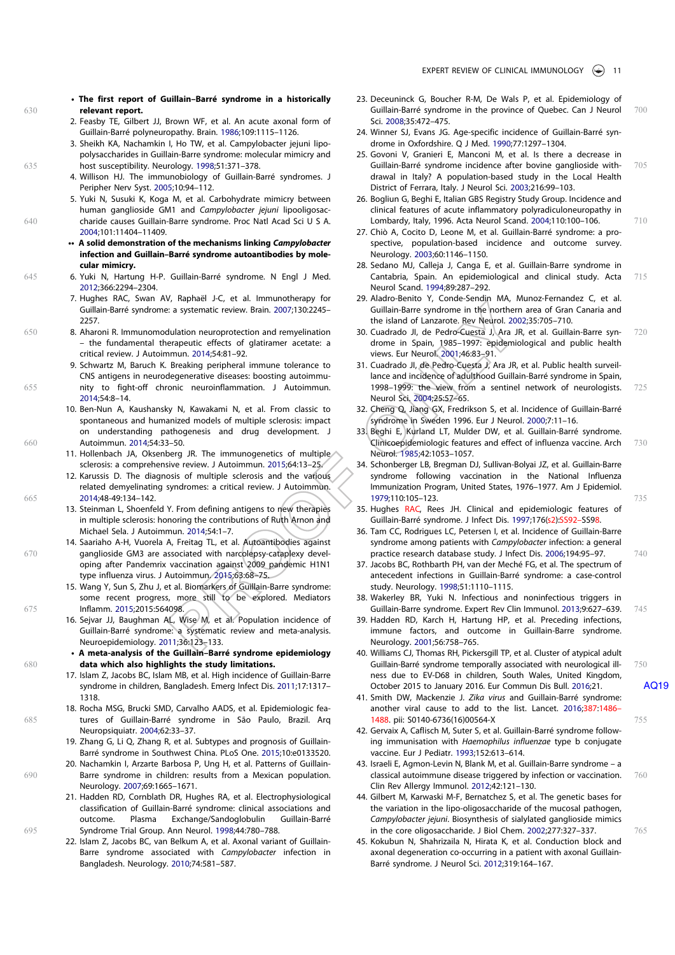630 relevant report.

• The first report of Guillain–Barré syndrome in a historically

2. Feasby TE, Gilbert JJ, Brown WF, et al. An acute axonal form of Guillain-Barré polyneuropathy. Brain. 1986;109:1115–1126. 3. Sheikh KA, Nachamkin I, Ho TW, et al. Campylobacter jejuni lipopolysaccharides in Guillain-Barre syndrome: molecular mimicry and

4. Willison HJ. The immunobiology of Guillain-Barré syndromes. J

5. Yuki N, Susuki K, Koga M, et al. Carbohydrate mimicry between human ganglioside GM1 and Campylobacter jejuni lipooligosac-

•• A solid demonstration of the mechanisms linking Campylobacter infection and Guillain–Barré syndrome autoantibodies by mole-

7. Hughes RAC, Swan AV, Raphaël J-C, et al. Immunotherapy for Guillain-Barré syndrome: a systematic review. Brain. 2007;130:2245–

– the fundamental therapeutic effects of glatiramer acetate: a

9. Schwartz M, Baruch K. Breaking peripheral immune tolerance to CNS antigens in neurodegenerative diseases: boosting autoimmu-

10. Ben-Nun A, Kaushansky N, Kawakami N, et al. From classic to spontaneous and humanized models of multiple sclerosis: impact on understanding pathogenesis and drug development. J

11. Hollenbach JA, Oksenberg JR. The immunogenetics of multiple sclerosis: a comprehensive review. J Autoimmun. 2015;64:13–25. 12. Karussis D. The diagnosis of multiple sclerosis and the various related demyelinating syndromes: a critical review. J Autoimmun.

13. Steinman L, Shoenfeld Y. From defining antigens to new therapies in multiple sclerosis: honoring the contributions of Ruth Arnon and

14. Saariaho A-H, Vuorela A, Freitag TL, et al. Autoantibodies against

15. Wang Y, Sun S, Zhu J, et al. Biomarkers of Guillain-Barre syndrome: some recent progress, more still to be explored. Mediators

16. Sejvar JJ, Baughman AL, Wise M, et al. Population incidence of Guillain-Barré syndrome: a systematic review and meta-analysis.

• A meta-analysis of the Guillain–Barré syndrome epidemiology

17. Islam Z, Jacobs BC, Islam MB, et al. High incidence of Guillain-Barre syndrome in children, Bangladesh. Emerg Infect Dis. 2011;17:1317–

18. Rocha MSG, Brucki SMD, Carvalho AADS, et al. Epidemiologic fea-

19. Zhang G, Li Q, Zhang R, et al. Subtypes and prognosis of Guillain-Barré syndrome in Southwest China. PLoS One. 2015;10:e0133520. 20. Nachamkin I, Arzarte Barbosa P, Ung H, et al. Patterns of Guillain-

21. Hadden RD, Cornblath DR, Hughes RA, et al. Electrophysiological classification of Guillain-Barré syndrome: clinical associations and outcome. Plasma Exchange/Sandoglobulin Guillain-Barré

22. Islam Z, Jacobs BC, van Belkum A, et al. Axonal variant of Guillain-Barre syndrome associated with Campylobacter infection in

oping after Pandemrix vaccination against 2009 pandemic H1N1

critical review. J Autoimmun. 2014;54:81–92.

Michael Sela. J Autoimmun. 2014;54:1–7.

Neuroepidemiology. 2011;36:123–133.

Neuropsiquiatr. 2004;62:33–37.

Neurology. 2007;69:1665–1671.

Bangladesh. Neurology. 2010;74:581–587.

type influenza virus. J Autoimmun. 2015;63:68–75.

Peripher Nerv Syst. 2005;10:94–112.

2004;101:11404–11409.

cular mimicry.

2014;54:8–14.

660 Autoimmun. 2014;54:33–50.

675 Inflamm. 2015;2015:564098.

1318.

2257.

2012;366:2294–2304.

635 host susceptibility. Neurology. 1998;51:371–378.

- 640 charide causes Guillain-Barre syndrome. Proc Natl Acad Sci U S A.
- 
- 645 6. Yuki N, Hartung H-P. Guillain-Barré syndrome. N Engl J Med.

- 650 8. Aharoni R. Immunomodulation neuroprotection and remyelination
- 
- 655 nity to fight-off chronic neuroinflammation. J Autoimmun.
- 
- 
- 
- 
- 665 2014;48-49:134–142.
- 
- 670 ganglioside GM3 are associated with narcolepsy-cataplexy devel-

680 data which also highlights the study limitations.

- 685 tures of Guillain-Barré syndrome in São Paulo, Brazil. Arq
- 690 Barre syndrome in children: results from a Mexican population.

695 Syndrome Trial Group. Ann Neurol. 1998;44:780–788.

- 23. Deceuninck G, Boucher R-M, De Wals P, et al. Epidemiology of Guillain-Barré syndrome in the province of Quebec. Can J Neurol 700 Sci. 2008;35:472–475.
- 24. Winner SJ, Evans JG. Age-specific incidence of Guillain-Barré syndrome in Oxfordshire. Q J Med. 1990;77:1297–1304.
- 25. Govoni V, Granieri E, Manconi M, et al. Is there a decrease in Guillain-Barré syndrome incidence after bovine ganglioside with- 705 drawal in Italy? A population-based study in the Local Health District of Ferrara, Italy. J Neurol Sci. 2003;216:99–103.
- 26. Bogliun G, Beghi E, Italian GBS Registry Study Group. Incidence and clinical features of acute inflammatory polyradiculoneuropathy in Lombardy, Italy, 1996. Acta Neurol Scand. 2004:110:100-106. 210
- 27. Chiò A, Cocito D, Leone M, et al. Guillain-Barré syndrome: a prospective, population-based incidence and outcome survey. Neurology. 2003;60:1146–1150.
- 28. Sedano MJ, Calleja J, Canga E, et al. Guillain-Barre syndrome in Cantabria, Spain. An epidemiological and clinical study. Acta 715 Neurol Scand. 1994;89:287–292.
- 29. Aladro-Benito Y, Conde-Sendin MA, Munoz-Fernandez C, et al. Guillain-Barre syndrome in the northern area of Gran Canaria and the island of Lanzarote. Rev Neurol. 2002;35:705–710.
- 30. Cuadrado JI, de Pedro-Cuesta J, Ara JR, et al. Guillain-Barre syn- 720 drome in Spain, 1985–1997: epidemiological and public health views. Eur Neurol. 2001;46:83–91.
- 31. Cuadrado JI, de Pedro-Cuesta J, Ara JR, et al. Public health surveillance and incidence of adulthood Guillain-Barré syndrome in Spain, 1998–1999: the view from a sentinel network of neurologists. 725 Neurol Sci. 2004;25:57–65.
- 32. Cheng Q, Jiang GX, Fredrikson S, et al. Incidence of Guillain-Barré syndrome in Sweden 1996. Eur J Neurol. 2000;7:11–16.
- 33. Beghi E, Kurland LT, Mulder DW, et al. Guillain-Barré syndrome. Clinicoepidemiologic features and effect of influenza vaccine. Arch 730 Neurol. 1985;42:1053–1057.
- 34. Schonberger LB, Bregman DJ, Sullivan-Bolyai JZ, et al. Guillain-Barre syndrome following vaccination in the National Influenza Immunization Program, United States, 1976–1977. Am J Epidemiol. 1979;110:105–123. 735
- 35. Hughes RAC, Rees JH. Clinical and epidemiologic features of Guillain-Barré syndrome. J Infect Dis. 1997;176(s2):SS92–SS98.
- 36. Tam CC, Rodrigues LC, Petersen I, et al. Incidence of Guillain-Barre syndrome among patients with *Campylobacter* infection: a general practice research database study. J Infect Dis. 2006;194:95-97. 740
- 37. Jacobs BC, Rothbarth PH, van der Meché FG, et al. The spectrum of antecedent infections in Guillain-Barré syndrome: a case-control study. Neurology. 1998;51:1110–1115.
- 38. Wakerley BR, Yuki N. Infectious and noninfectious triggers in Guillain-Barre syndrome. Expert Rev Clin Immunol. 2013;9:627–639. 745
- 39. Hadden RD, Karch H, Hartung HP, et al. Preceding infections, immune factors, and outcome in Guillain-Barre syndrome. Neurology. 2001;56:758–765.
- 40. Williams CJ, Thomas RH, Pickersgill TP, et al. Cluster of atypical adult Guillain-Barré syndrome temporally associated with neurological ill- 750 ness due to EV-D68 in children, South Wales, United Kingdom, October 2015 to January 2016. Eur Commun Dis Bull. 2016;21. AQ19
- 41. Smith DW, Mackenzie J. Zika virus and Guillain-Barré syndrome: another viral cause to add to the list. Lancet. 2016;387:1486– 1488. pii: S0140-6736(16)00564-X 755
- 42. Gervaix A, Caflisch M, Suter S, et al. Guillain-Barré syndrome following immunisation with Haemophilus influenzae type b conjugate vaccine. Eur J Pediatr. 1993;152:613–614.
- 43. Israeli E, Agmon-Levin N, Blank M, et al. Guillain-Barre syndrome a classical autoimmune disease triggered by infection or vaccination. 760 Clin Rev Allergy Immunol. 2012;42:121–130.
- 44. Gilbert M, Karwaski M-F, Bernatchez S, et al. The genetic bases for the variation in the lipo-oligosaccharide of the mucosal pathogen, Campylobacter jejuni. Biosynthesis of sialylated ganglioside mimics in the core oligosaccharide. J Biol Chem. 2002;277:327-337. 765
- 45. Kokubun N, Shahrizaila N, Hirata K, et al. Conduction block and axonal degeneration co-occurring in a patient with axonal Guillain-Barré syndrome. J Neurol Sci. 2012;319:164–167.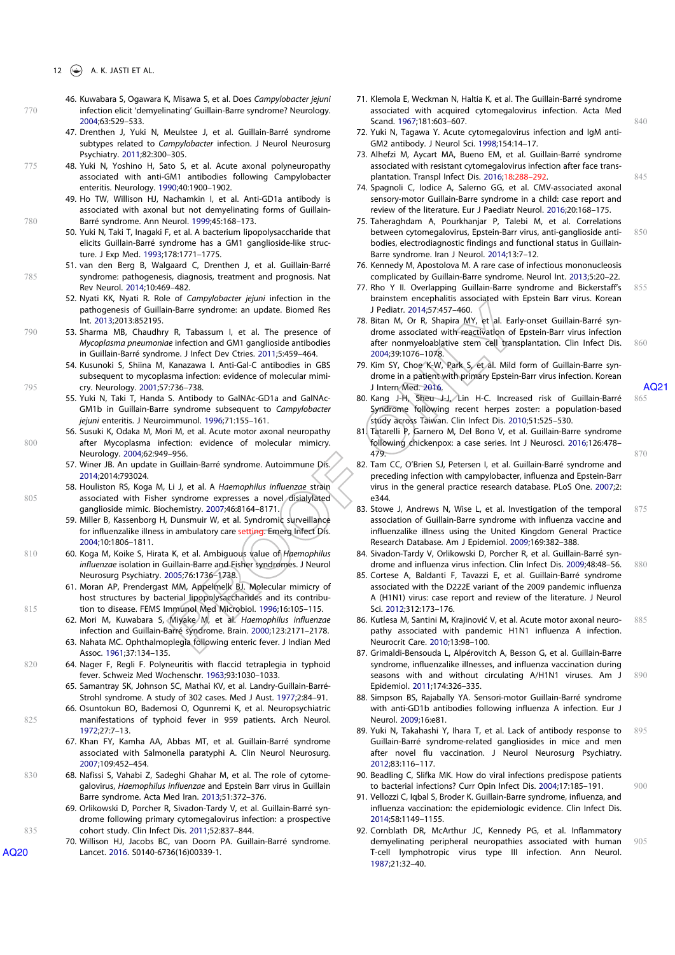#### 12  $\left(\frac{1}{2}\right)$  A. K. JASTI ET AL.

- 46. Kuwabara S, Ogawara K, Misawa S, et al. Does Campylobacter jejuni 770 infection elicit 'demyelinating' Guillain-Barre syndrome? Neurology. 2004;63:529–533.
	- 47. Drenthen J, Yuki N, Meulstee J, et al. Guillain-Barré syndrome subtypes related to Campylobacter infection. J Neurol Neurosurg Psychiatry. 2011;82:300–305.
- 775 48. Yuki N, Yoshino H, Sato S, et al. Acute axonal polyneuropathy associated with anti-GM1 antibodies following Campylobacter enteritis. Neurology. 1990;40:1900–1902.
- 49. Ho TW, Willison HJ, Nachamkin I, et al. Anti-GD1a antibody is associated with axonal but not demyelinating forms of Guillain-780 Barré syndrome. Ann Neurol. 1999;45:168–173.
	- 50. Yuki N, Taki T, Inagaki F, et al. A bacterium lipopolysaccharide that elicits Guillain-Barré syndrome has a GM1 ganglioside-like structure. J Exp Med. 1993;178:1771–1775.
- 51. van den Berg B, Walgaard C, Drenthen J, et al. Guillain-Barré 785 syndrome: pathogenesis, diagnosis, treatment and prognosis. Nat Rev Neurol. 2014;10:469–482.
	- 52. Nyati KK, Nyati R. Role of Campylobacter jejuni infection in the pathogenesis of Guillain-Barre syndrome: an update. Biomed Res Int. 2013;2013:852195.
- 790 53. Sharma MB, Chaudhry R, Tabassum I, et al. The presence of Mycoplasma pneumoniae infection and GM1 ganglioside antibodies in Guillain-Barré syndrome. J Infect Dev Ctries. 2011;5:459–464.
- 54. Kusunoki S, Shiina M, Kanazawa I. Anti-Gal-C antibodies in GBS subsequent to mycoplasma infection: evidence of molecular mimi-795 cry. Neurology. 2001;57:736–738.
	- 55. Yuki N, Taki T, Handa S. Antibody to GalNAc-GD1a and GalNAc-GM1b in Guillain-Barre syndrome subsequent to Campylobacter jejuni enteritis. J Neuroimmunol. 1996;71:155–161.
- 56. Susuki K, Odaka M, Mori M, et al. Acute motor axonal neuropathy 800 after Mycoplasma infection: evidence of molecular mimicry. Neurology. 2004;62:949–956.
	- 57. Winer JB. An update in Guillain-Barré syndrome. Autoimmune Dis. 2014;2014:793024.
- 58. Houliston RS, Koga M, Li J, et al. A Haemophilus influenzae strain 805 associated with Fisher syndrome expresses a novel disialylated ganglioside mimic. Biochemistry. 2007;46:8164–8171.
	- 59. Miller B, Kassenborg H, Dunsmuir W, et al. Syndromic surveillance for influenzalike illness in ambulatory care setting. Emerg Infect Dis. 2004;10:1806–1811.
- 810 60. Koga M, Koike S, Hirata K, et al. Ambiguous value of Haemophilus influenzae isolation in Guillain-Barre and Fisher syndromes. J Neurol Neurosurg Psychiatry. 2005;76:1736–1738.
- 61. Moran AP, Prendergast MM, Appelmelk BJ. Molecular mimicry of host structures by bacterial lipopolysaccharides and its contribu-815 tion to disease. FEMS Immunol Med Microbiol. 1996:16:105-115.
	- 62. Mori M, Kuwabara S, Miyake M, et al. Haemophilus influenzae infection and Guillain-Barré syndrome. Brain. 2000;123:2171–2178.
	- 63. Nahata MC. Ophthalmoplegia following enteric fever. J Indian Med Assoc. 1961;37:134–135.
- 820 64. Nager F, Regli F. Polyneuritis with flaccid tetraplegia in typhoid fever. Schweiz Med Wochenschr. 1963;93:1030–1033.
	- 65. Samantray SK, Johnson SC, Mathai KV, et al. Landry-Guillain-Barré-Strohl syndrome. A study of 302 cases. Med J Aust. 1977;2:84–91.
- 66. Osuntokun BO, Bademosi O, Ogunremi K, et al. Neuropsychiatric 825 manifestations of typhoid fever in 959 patients. Arch Neurol. 1972;27:7–13.
	- 67. Khan FY, Kamha AA, Abbas MT, et al. Guillain-Barré syndrome associated with Salmonella paratyphi A. Clin Neurol Neurosurg. 2007;109:452–454.
- 830 68. Nafissi S, Vahabi Z, Sadeghi Ghahar M, et al. The role of cytomegalovirus, Haemophilus influenzae and Epstein Barr virus in Guillain Barre syndrome. Acta Med Iran. 2013;51:372–376.
- 69. Orlikowski D, Porcher R, Sivadon-Tardy V, et al. Guillain-Barré syndrome following primary cytomegalovirus infection: a prospective 835 cohort study. Clin Infect Dis. 2011;52:837–844.
- 70. Willison HJ, Jacobs BC, van Doorn PA. Guillain-Barré syndrome. AQ20 Lancet. 2016. S0140-6736(16)00339-1.
- 71. Klemola E, Weckman N, Haltia K, et al. The Guillain-Barré syndrome associated with acquired cytomegalovirus infection. Acta Med Scand. 1967:181:603–607. 840
- 72. Yuki N, Tagawa Y. Acute cytomegalovirus infection and IgM anti-GM2 antibody. J Neurol Sci. 1998;154:14–17.
- 73. Alhefzi M, Aycart MA, Bueno EM, et al. Guillain-Barré syndrome associated with resistant cytomegalovirus infection after face transplantation. Transpl Infect Dis. 2016;18:288–292. 845
- 74. Spagnoli C, Iodice A, Salerno GG, et al. CMV-associated axonal sensory-motor Guillain-Barre syndrome in a child: case report and review of the literature. Eur J Paediatr Neurol. 2016;20:168–175.
- 75. Taheraghdam A, Pourkhanjar P, Talebi M, et al. Correlations between cytomegalovirus, Epstein-Barr virus, anti-ganglioside anti- 850 bodies, electrodiagnostic findings and functional status in Guillain-Barre syndrome. Iran J Neurol. 2014;13:7–12.
- 76. Kennedy M, Apostolova M. A rare case of infectious mononucleosis complicated by Guillain-Barre syndrome. Neurol Int. 2013;5:20–22.
- 77. Rho Y II. Overlapping Guillain-Barre syndrome and Bickerstaff's 855 brainstem encephalitis associated with Epstein Barr virus. Korean J Pediatr. 2014;57:457–460.
- 78. Bitan M, Or R, Shapira MY, et al. Early-onset Guillain-Barré syndrome associated with reactivation of Epstein-Barr virus infection after nonmyeloablative stem cell transplantation. Clin Infect Dis. 860 2004;39:1076–1078.
- 79. Kim SY, Choe K-W, Park S, et al. Mild form of Guillain-Barre syndrome in a patient with primary Epstein-Barr virus infection. Korean J Intern Med. 2016. AQ21
- 80. Kang J-H, Sheu J-J, Lin H-C. Increased risk of Guillain-Barré 865 Syndrome following recent herpes zoster: a population-based study across Taiwan. Clin Infect Dis. 2010;51:525–530.
- 81. Tatarelli P, Garnero M, Del Bono V, et al. Guillain-Barre syndrome following chickenpox: a case series. Int J Neurosci. 2016;126:478– **479.** 870
- 82. Tam CC, O'Brien SJ, Petersen I, et al. Guillain-Barré syndrome and preceding infection with campylobacter, influenza and Epstein-Barr virus in the general practice research database. PLoS One. 2007;2:  $A^2$
- 83. Stowe J, Andrews N, Wise L, et al. Investigation of the temporal 875 association of Guillain-Barre syndrome with influenza vaccine and influenzalike illness using the United Kingdom General Practice Research Database. Am J Epidemiol. 2009;169:382–388.
- 84. Sivadon-Tardy V, Orlikowski D, Porcher R, et al. Guillain-Barré syndrome and influenza virus infection. Clin Infect Dis. 2009;48:48–56. 880
- 85. Cortese A, Baldanti F, Tavazzi E, et al. Guillain-Barré syndrome associated with the D222E variant of the 2009 pandemic influenza A (H1N1) virus: case report and review of the literature. J Neurol Sci. 2012;312:173–176.
- 86. Kutlesa M, Santini M, Krajinović V, et al. Acute motor axonal neuro- 885 pathy associated with pandemic H1N1 influenza A infection. Neurocrit Care. 2010;13:98–100.
- 87. Grimaldi-Bensouda L, Alpérovitch A, Besson G, et al. Guillain-Barre syndrome, influenzalike illnesses, and influenza vaccination during seasons with and without circulating A/H1N1 viruses. Am J 890 Epidemiol. 2011;174:326–335.
- 88. Simpson BS, Rajabally YA. Sensori-motor Guillain-Barré syndrome with anti-GD1b antibodies following influenza A infection. Eur J Neurol. 2009;16:e81.
- 89. Yuki N, Takahashi Y, Ihara T, et al. Lack of antibody response to 895 Guillain-Barré syndrome-related gangliosides in mice and men after novel flu vaccination. J Neurol Neurosurg Psychiatry. 2012;83:116–117.
- 90. Beadling C, Slifka MK. How do viral infections predispose patients to bacterial infections? Curr Opin Infect Dis. 2004;17:185-191. 900
- 91. Vellozzi C, Iqbal S, Broder K. Guillain-Barre syndrome, influenza, and influenza vaccination: the epidemiologic evidence. Clin Infect Dis. 2014;58:1149–1155.
- 92. Cornblath DR, McArthur JC, Kennedy PG, et al. Inflammatory demyelinating peripheral neuropathies associated with human 905 T-cell lymphotropic virus type III infection. Ann Neurol. 1987;21:32–40.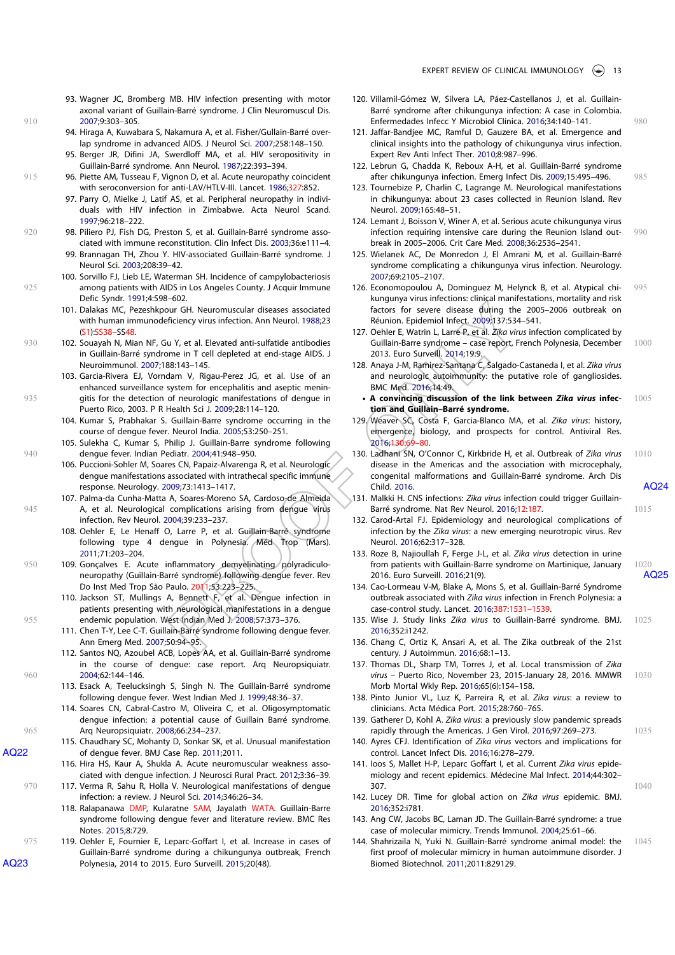- 93. Wagner JC, Bromberg MB. HIV infection presenting with motor axonal variant of Guillain-Barré syndrome. J Clin Neuromuscul Dis. 910 2007;9:303–305.
	- 94. Hiraga A, Kuwabara S, Nakamura A, et al. Fisher/Gullain-Barré overlap syndrome in advanced AIDS. J Neurol Sci. 2007;258:148–150.
	- 95. Berger JR, Difini JA, Swerdloff MA, et al. HIV seropositivity in Guillain-Barré syndrome. Ann Neurol. 1987;22:393–394.
- 915 96. Piette AM, Tusseau F, Vignon D, et al. Acute neuropathy coincident with seroconversion for anti-LAV/HTLV-III. Lancet. 1986;327:852.
	- 97. Parry O, Mielke J, Latif AS, et al. Peripheral neuropathy in individuals with HIV infection in Zimbabwe. Acta Neurol Scand. 1997;96:218–222.
- 920 98. Piliero PJ, Fish DG, Preston S, et al. Guillain-Barré syndrome associated with immune reconstitution. Clin Infect Dis. 2003;36:e111–4.
	- 99. Brannagan TH, Zhou Y. HIV-associated Guillain-Barré syndrome. J Neurol Sci. 2003;208:39–42.
- 100. Sorvillo FJ, Lieb LE, Waterman SH. Incidence of campylobacteriosis 925 among patients with AIDS in Los Angeles County. J Acquir Immune Defic Syndr. 1991;4:598–602.
	- 101. Dalakas MC, Pezeshkpour GH. Neuromuscular diseases associated with human immunodeficiency virus infection. Ann Neurol. 1988;23 (S1):SS38–SS48.
- 930 102. Souayah N, Mian NF, Gu Y, et al. Elevated anti-sulfatide antibodies in Guillain-Barré syndrome in T cell depleted at end-stage AIDS. J Neuroimmunol. 2007;188:143–145.
- 103. Garcia-Rivera EJ, Vorndam V, Rigau-Perez JG, et al. Use of an enhanced surveillance system for encephalitis and aseptic menin-935 gitis for the detection of neurologic manifestations of dengue in Puerto Rico, 2003. P R Health Sci J. 2009;28:114–120.
	- 104. Kumar S, Prabhakar S. Guillain-Barre syndrome occurring in the course of dengue fever. Neurol India. 2005;53:250–251.
- 105. Sulekha C, Kumar S, Philip J. Guillain-Barre syndrome following 940 dengue fever. Indian Pediatr. 2004;41:948–950.
	- 106. Puccioni-Sohler M, Soares CN, Papaiz-Alvarenga R, et al. Neurologic dengue manifestations associated with intrathecal specific immune response. Neurology. 2009;73:1413–1417.
- 107. Palma-da Cunha-Matta A, Soares-Moreno SA, Cardoso-de Almeida 945 A, et al. Neurological complications arising from dengue virus infection. Rev Neurol. 2004;39:233–237.
	- 108. Oehler E, Le Henaff O, Larre P, et al. Guillain-Barré syndrome following type 4 dengue in Polynesia. Méd Trop (Mars). 2011;71:203–204.
- 950 109. Gonçalves E. Acute inflammatory demyelinating polyradiculoneuropathy (Guillain-Barré syndrome) following dengue fever. Rev Do Inst Med Trop São Paulo. 2011;53:223–225.
- 110. Jackson ST, Mullings A, Bennett F, et al. Dengue infection in patients presenting with neurological manifestations in a dengue 955 endemic population. West Indian Med J. 2008;57:373–376.
	- 111. Chen T-Y, Lee C-T. Guillain-Barré syndrome following dengue fever. Ann Emerg Med. 2007;50:94–95.
- 112. Santos NQ, Azoubel ACB, Lopes AA, et al. Guillain-Barré syndrome in the course of dengue: case report. Arq Neuropsiquiatr. 960 **2004:62:144-146.** 
	- 113. Esack A, Teelucksingh S, Singh N. The Guillain-Barré syndrome following dengue fever. West Indian Med J. 1999;48:36–37.
- 114. Soares CN, Cabral-Castro M, Oliveira C, et al. Oligosymptomatic dengue infection: a potential cause of Guillain Barré syndrome. 965 Arq Neuropsiquiatr. 2008;66:234–237.
- 115. Chaudhary SC, Mohanty D, Sonkar SK, et al. Unusual manifestation AQ22 of dengue fever. BMJ Case Rep. 2011;2011.
	- 116. Hira HS, Kaur A, Shukla A. Acute neuromuscular weakness associated with dengue infection. J Neurosci Rural Pract. 2012;3:36–39.
	- 970 117. Verma R, Sahu R, Holla V. Neurological manifestations of dengue infection: a review. J Neurol Sci. 2014;346:26–34.
		- 118. Ralapanawa DMP, Kularatne SAM, Jayalath WATA. Guillain-Barre syndrome following dengue fever and literature review. BMC Res Notes. 2015;8:729.
- 975 119. Oehler E, Fournier E, Leparc-Goffart I, et al. Increase in cases of Guillain-Barré syndrome during a chikungunya outbreak, French AQ23 Polynesia, 2014 to 2015. Euro Surveill. 2015;20(48).
- 120. Villamil-Gómez W, Silvera LA, Páez-Castellanos J, et al. Guillain-Barré syndrome after chikungunya infection: A case in Colombia. Enfermedades Infecc Y Microbiol Clínica. 2016:34:140-141. 980
- 121. Jaffar-Bandjee MC, Ramful D, Gauzere BA, et al. Emergence and clinical insights into the pathology of chikungunya virus infection. Expert Rev Anti Infect Ther. 2010;8:987–996.
- 122. Lebrun G, Chadda K, Reboux A-H, et al. Guillain-Barré syndrome after chikungunya infection. Emerg Infect Dis. 2009:15:495-496. 985
- 123. Tournebize P, Charlin C, Lagrange M. Neurological manifestations in chikungunya: about 23 cases collected in Reunion Island. Rev Neurol. 2009;165:48–51.
- 124. Lemant J, Boisson V, Winer A, et al. Serious acute chikungunya virus infection requiring intensive care during the Reunion Island out- 990 break in 2005–2006. Crit Care Med. 2008;36:2536–2541.
- 125. Wielanek AC, De Monredon J, El Amrani M, et al. Guillain-Barré syndrome complicating a chikungunya virus infection. Neurology. 2007;69:2105–2107.
- 126. Economopoulou A, Dominguez M, Helynck B, et al. Atypical chi- 995 kungunya virus infections: clinical manifestations, mortality and risk factors for severe disease during the 2005–2006 outbreak on Réunion. Epidemiol Infect. 2009;137:534–541.
- 127. Oehler E, Watrin L, Larre P, et al. Zika virus infection complicated by Guillain-Barre syndrome - case report, French Polynesia, December 1000 2013. Euro Surveill. 2014;19:9.
- 128. Anaya J-M, Ramirez-Santana C, Salgado-Castaneda I, et al. Zika virus and neurologic autoimmunity: the putative role of gangliosides. BMC Med. 2016;14:49.
	- A convincing discussion of the link between Zika virus infec-  $1005$ tion and Guillain–Barré syndrome.
- 129. Weaver SC, Costa F, Garcia-Blanco MA, et al. Zika virus: history, emergence, biology, and prospects for control. Antiviral Res. 2016;130:69–80.
- 130. Ladhani SN, O'Connor C, Kirkbride H, et al. Outbreak of Zika virus 1010 disease in the Americas and the association with microcephaly, congenital malformations and Guillain-Barré syndrome. Arch Dis Child. 2016. **AQ24**
- 131. Malkki H. CNS infections: Zika virus infection could trigger Guillain-Barré syndrome. Nat Rev Neurol. 2016;12:187. 1015
- 132. Carod-Artal FJ. Epidemiology and neurological complications of infection by the Zika virus: a new emerging neurotropic virus. Rev Neurol. 2016;62:317–328.
- 133. Roze B, Najioullah F, Ferge J-L, et al. Zika virus detection in urine from patients with Guillain-Barre syndrome on Martinique, January 1020 2016. Euro Surveill. 2016;21(9). AQ25
- 134. Cao-Lormeau V-M, Blake A, Mons S, et al. Guillain-Barré Syndrome outbreak associated with Zika virus infection in French Polynesia: a case-control study. Lancet. 2016;387:1531–1539.
- 135. Wise J. Study links Zika virus to Guillain-Barré syndrome. BMJ. 1025 2016;352:i1242.
- 136. Chang C, Ortiz K, Ansari A, et al. The Zika outbreak of the 21st century. J Autoimmun. 2016;68:1–13.
- 137. Thomas DL, Sharp TM, Torres J, et al. Local transmission of Zika virus – Puerto Rico, November 23, 2015-January 28, 2016. MMWR 1030 Morb Mortal Wkly Rep. 2016;65(6):154–158.
- 138. Pinto Junior VL, Luz K, Parreira R, et al. Zika virus: a review to clinicians. Acta Médica Port. 2015;28:760–765.
- 139. Gatherer D, Kohl A. Zika virus: a previously slow pandemic spreads rapidly through the Americas. J Gen Virol. 2016;97:269-273. 1035
- 140. Ayres CFJ. Identification of Zika virus vectors and implications for control. Lancet Infect Dis. 2016;16:278–279.
- 141. Ioos S, Mallet H-P, Leparc Goffart I, et al. Current Zika virus epidemiology and recent epidemics. Médecine Mal Infect. 2014;44:302– **307.** 1040
- 142. Lucey DR. Time for global action on Zika virus epidemic. BMJ. 2016;352:i781.
- 143. Ang CW, Jacobs BC, Laman JD. The Guillain-Barré syndrome: a true case of molecular mimicry. Trends Immunol. 2004;25:61–66.
- 144. Shahrizaila N, Yuki N. Guillain-Barré syndrome animal model: the 1045 first proof of molecular mimicry in human autoimmune disorder. J Biomed Biotechnol. 2011;2011:829129.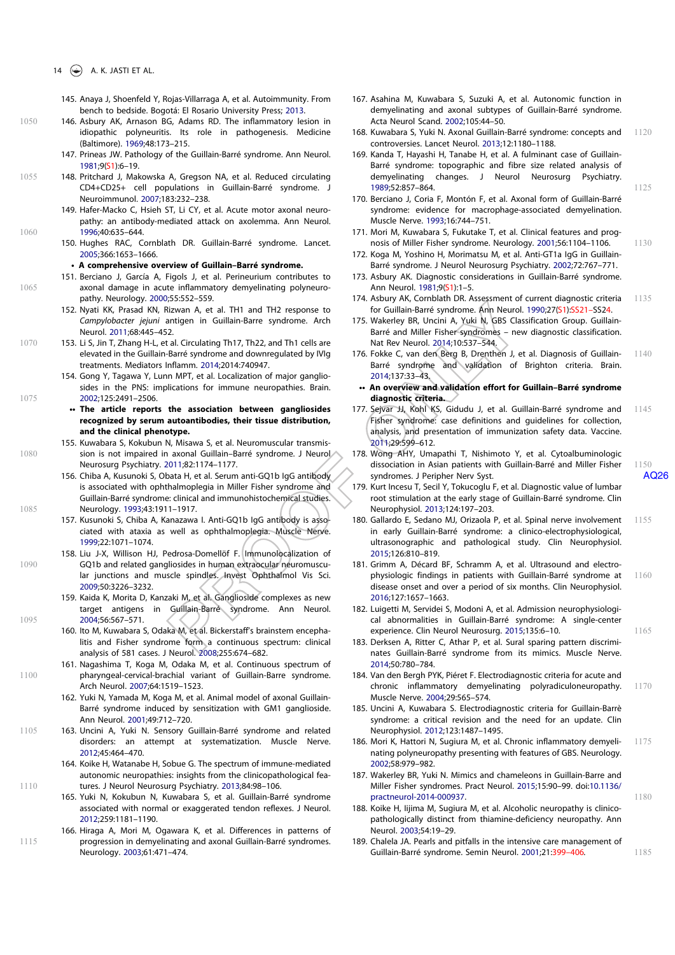- 14  $\left(\frac{1}{2}\right)$  A. K. JASTI ET AL.
	- 145. Anaya J, Shoenfeld Y, Rojas-Villarraga A, et al. Autoimmunity. From bench to bedside. Bogotá: El Rosario University Press; 2013.
- 1050 146. Asbury AK, Arnason BG, Adams RD. The inflammatory lesion in idiopathic polyneuritis. Its role in pathogenesis. Medicine (Baltimore). 1969;48:173–215.
	- 147. Prineas JW. Pathology of the Guillain-Barré syndrome. Ann Neurol. 1981;9(S1):6–19.
- 1055 148. Pritchard J, Makowska A, Gregson NA, et al. Reduced circulating CD4+CD25+ cell populations in Guillain-Barré syndrome. J Neuroimmunol. 2007;183:232–238.
- 149. Hafer-Macko C, Hsieh ST, Li CY, et al. Acute motor axonal neuropathy: an antibody-mediated attack on axolemma. Ann Neurol. 1060 **1996:40:635-644.** 
	- 150. Hughes RAC, Cornblath DR. Guillain-Barré syndrome. Lancet. 2005;366:1653–1666.
		- A comprehensive overview of Guillain–Barré syndrome.
- 151. Berciano J, García A, Figols J, et al. Perineurium contributes to 1065 axonal damage in acute inflammatory demyelinating polyneuropathy. Neurology. 2000;55:552–559.
	- 152. Nyati KK, Prasad KN, Rizwan A, et al. TH1 and TH2 response to Campylobacter jejuni antigen in Guillain-Barre syndrome. Arch Neurol. 2011;68:445–452.
- 1070 153. Li S, Jin T, Zhang H-L, et al. Circulating Th17, Th22, and Th1 cells are elevated in the Guillain-Barré syndrome and downregulated by IVIg treatments. Mediators Inflamm. 2014;2014:740947.
- 154. Gong Y, Tagawa Y, Lunn MPT, et al. Localization of major gangliosides in the PNS: implications for immune neuropathies. Brain. 1075 2002;125:2491–2506.
	- •• The article reports the association between gangliosides recognized by serum autoantibodies, their tissue distribution, and the clinical phenotype.
- 155. Kuwabara S, Kokubun N, Misawa S, et al. Neuromuscular transmis-1080 sion is not impaired in axonal Guillain-Barré syndrome. J Neurol Neurosurg Psychiatry. 2011;82:1174–1177.
- 156. Chiba A, Kusunoki S, Obata H, et al. Serum anti-GQ1b IgG antibody is associated with ophthalmoplegia in Miller Fisher syndrome and Guillain-Barré syndrome: clinical and immunohistochemical studies. 1085 Neurology. 1993;43:1911–1917.
	- 157. Kusunoki S, Chiba A, Kanazawa I. Anti-GQ1b IgG antibody is associated with ataxia as well as ophthalmoplegia. Muscle Nerve. 1999;22:1071–1074.
- 158. Liu J-X, Willison HJ, Pedrosa-Domellöf F. Immunolocalization of 1090 GQ1b and related gangliosides in human extraocular neuromuscular junctions and muscle spindles. Invest Ophthalmol Vis Sci. 2009;50:3226–3232.
- 159. Kaida K, Morita D, Kanzaki M, et al. Ganglioside complexes as new target antigens in Guillain-Barré syndrome. Ann Neurol. 1095 **2004;56:567-571.** 
	- 160. Ito M, Kuwabara S, Odaka M, et al. Bickerstaff's brainstem encephalitis and Fisher syndrome form a continuous spectrum: clinical analysis of 581 cases. J Neurol. 2008;255:674–682.
- 161. Nagashima T, Koga M, Odaka M, et al. Continuous spectrum of 1100 pharyngeal-cervical-brachial variant of Guillain-Barre syndrome. Arch Neurol. 2007;64:1519–1523.
	- 162. Yuki N, Yamada M, Koga M, et al. Animal model of axonal Guillain-Barré syndrome induced by sensitization with GM1 ganglioside. Ann Neurol. 2001;49:712–720.
- 1105 163. Uncini A, Yuki N. Sensory Guillain-Barré syndrome and related disorders: an attempt at systematization. Muscle Nerve. 2012;45:464–470.
- 164. Koike H, Watanabe H, Sobue G. The spectrum of immune-mediated autonomic neuropathies: insights from the clinicopathological fea-1110 tures. J Neurol Neurosurg Psychiatry. 2013;84:98–106.
	- 165. Yuki N, Kokubun N, Kuwabara S, et al. Guillain-Barré syndrome associated with normal or exaggerated tendon reflexes. J Neurol. 2012;259:1181–1190.
- 166. Hiraga A, Mori M, Ogawara K, et al. Differences in patterns of 1115 progression in demyelinating and axonal Guillain-Barré syndromes. Neurology. 2003;61:471–474.
- 167. Asahina M, Kuwabara S, Suzuki A, et al. Autonomic function in demyelinating and axonal subtypes of Guillain-Barré syndrome. Acta Neurol Scand. 2002;105:44–50.
- 168. Kuwabara S, Yuki N. Axonal Guillain-Barré syndrome: concepts and 1120 controversies. Lancet Neurol. 2013;12:1180–1188.
- 169. Kanda T, Hayashi H, Tanabe H, et al. A fulminant case of Guillain-Barré syndrome: topographic and fibre size related analysis of demyelinating changes. J Neurol Neurosurg Psychiatry. 1989;52:857–864. 1125
- 170. Berciano J, Coria F, Montón F, et al. Axonal form of Guillain-Barré syndrome: evidence for macrophage-associated demyelination. Muscle Nerve. 1993;16:744–751.
- 171. Mori M, Kuwabara S, Fukutake T, et al. Clinical features and prognosis of Miller Fisher syndrome. Neurology. 2001;56:1104-1106. 1130
- 172. Koga M, Yoshino H, Morimatsu M, et al. Anti-GT1a IgG in Guillain-Barré syndrome. J Neurol Neurosurg Psychiatry. 2002;72:767–771.
- 173. Asbury AK. Diagnostic considerations in Guillain-Barré syndrome. Ann Neurol. 1981;9(S1):1–5.
- 174. Asbury AK, Cornblath DR. Assessment of current diagnostic criteria 1135 for Guillain-Barré syndrome. Ann Neurol. 1990;27(S1):SS21–SS24.
- 175. Wakerley BR, Uncini A, Yuki N, GBS Classification Group. Guillain-Barré and Miller Fisher syndromes – new diagnostic classification. Nat Rev Neurol. 2014;10:537–544.
- 176. Fokke C, van den Berg B, Drenthen J, et al. Diagnosis of Guillain- 1140 Barré syndrome and validation of Brighton criteria. Brain. 2014;137:33–43.
- An overview and validation effort for Guillain-Barré syndrome diagnostic criteria.
- 177. Sejvar JJ, Kohl KS, Gidudu J, et al. Guillain-Barré syndrome and 1145 Fisher syndrome: case definitions and guidelines for collection, analysis, and presentation of immunization safety data. Vaccine. 2011;29:599–612.
- 178. Wong AHY, Umapathi T, Nishimoto Y, et al. Cytoalbuminologic dissociation in Asian patients with Guillain-Barré and Miller Fisher 1150<br>svndromes. J Peripher Nerv Syst. syndromes. J Peripher Nerv Syst.
- 179. Kurt Incesu T, Secil Y, Tokucoglu F, et al. Diagnostic value of lumbar root stimulation at the early stage of Guillain-Barré syndrome. Clin Neurophysiol. 2013;124:197–203.
- 180. Gallardo E, Sedano MJ, Orizaola P, et al. Spinal nerve involvement 1155 in early Guillain-Barré syndrome: a clinico-electrophysiological, ultrasonographic and pathological study. Clin Neurophysiol. 2015;126:810–819.
- 181. Grimm A, Décard BF, Schramm A, et al. Ultrasound and electrophysiologic findings in patients with Guillain-Barré syndrome at 1160 disease onset and over a period of six months. Clin Neurophysiol. 2016;127:1657–1663.
- 182. Luigetti M, Servidei S, Modoni A, et al. Admission neurophysiological abnormalities in Guillain-Barré syndrome: A single-center experience. Clin Neurol Neurosurg. 2015;135:6-10. 1165
- 183. Derksen A, Ritter C, Athar P, et al. Sural sparing pattern discriminates Guillain-Barré syndrome from its mimics. Muscle Nerve. 2014;50:780–784.
- 184. Van den Bergh PYK, Piéret F. Electrodiagnostic criteria for acute and chronic inflammatory demyelinating polyradiculoneuropathy. 1170 Muscle Nerve. 2004;29:565–574.
- 185. Uncini A, Kuwabara S. Electrodiagnostic criteria for Guillain-Barrè syndrome: a critical revision and the need for an update. Clin Neurophysiol. 2012;123:1487–1495.
- 186. Mori K, Hattori N, Sugiura M, et al. Chronic inflammatory demyeli- 1175 nating polyneuropathy presenting with features of GBS. Neurology. 2002;58:979–982.
- 187. Wakerley BR, Yuki N. Mimics and chameleons in Guillain-Barre and Miller Fisher syndromes. Pract Neurol. 2015;15:90–99. doi:10.1136/ practneurol-2014-000937. 1180
- 188. Koike H, Iijima M, Sugiura M, et al. Alcoholic neuropathy is clinicopathologically distinct from thiamine-deficiency neuropathy. Ann Neurol. 2003;54:19–29.
- 189. Chalela JA. Pearls and pitfalls in the intensive care management of Guillain-Barré syndrome. Semin Neurol. 2001;21:399-406. 1185